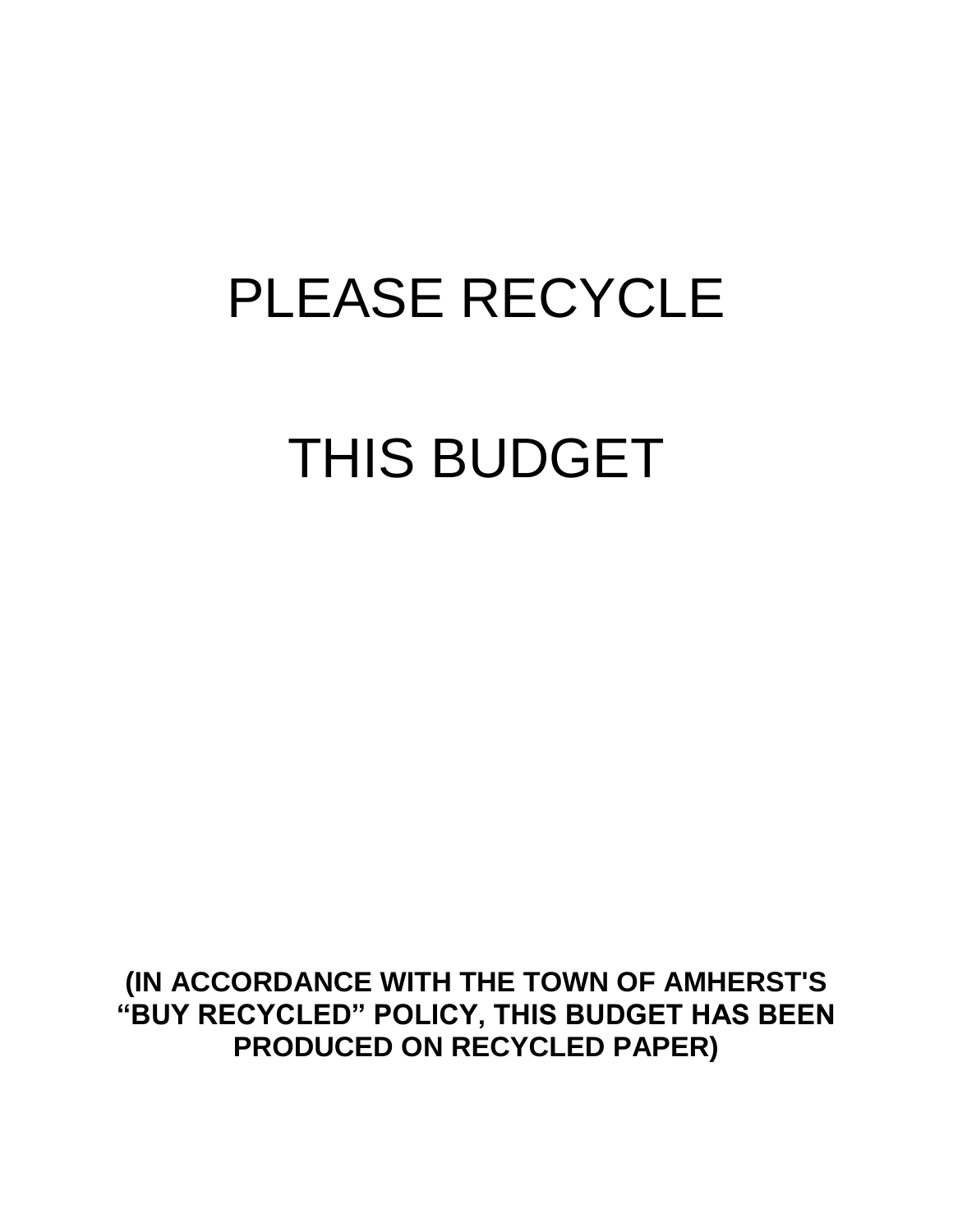# PLEASE RECYCLE

# THIS BUDGET

**(IN ACCORDANCE WITH THE TOWN OF AMHERST'S "BUY RECYCLED" POLICY, THIS BUDGET HAS BEEN PRODUCED ON RECYCLED PAPER)**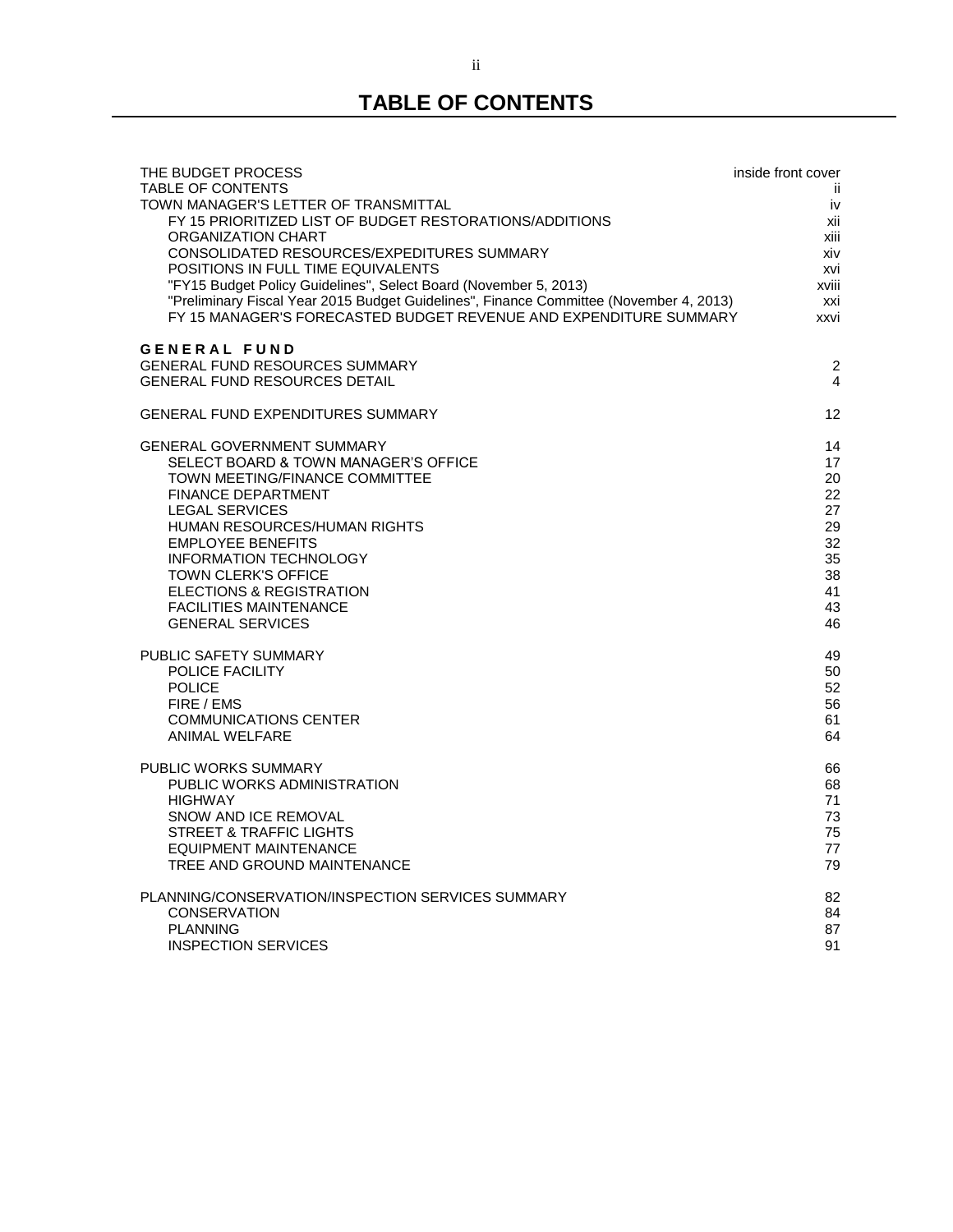## **TABLE OF CONTENTS**

| THE BUDGET PROCESS                                                                     | inside front cover  |
|----------------------------------------------------------------------------------------|---------------------|
| <b>TABLE OF CONTENTS</b>                                                               | ΪĹ.                 |
| TOWN MANAGER'S LETTER OF TRANSMITTAL                                                   | iv                  |
| FY 15 PRIORITIZED LIST OF BUDGET RESTORATIONS/ADDITIONS                                | xii                 |
| ORGANIZATION CHART                                                                     | xiii                |
| CONSOLIDATED RESOURCES/EXPEDITURES SUMMARY                                             | xiv                 |
| POSITIONS IN FULL TIME EQUIVALENTS                                                     | xvi                 |
| "FY15 Budget Policy Guidelines", Select Board (November 5, 2013)                       | xviii               |
| "Preliminary Fiscal Year 2015 Budget Guidelines", Finance Committee (November 4, 2013) | xxi                 |
| FY 15 MANAGER'S FORECASTED BUDGET REVENUE AND EXPENDITURE SUMMARY                      | xxvi                |
| <b>GENERAL FUND</b><br>GENERAL FUND RESOURCES SUMMARY<br>GENERAL FUND RESOURCES DETAIL | 2<br>$\overline{4}$ |
| <b>GENERAL FUND EXPENDITURES SUMMARY</b>                                               | 12                  |
| <b>GENERAL GOVERNMENT SUMMARY</b>                                                      | 14                  |
| SELECT BOARD & TOWN MANAGER'S OFFICE                                                   | 17                  |
| TOWN MEETING/FINANCE COMMITTEE                                                         | 20                  |
| <b>FINANCE DEPARTMENT</b>                                                              | 22                  |
| <b>LEGAL SERVICES</b>                                                                  | 27                  |
| HUMAN RESOURCES/HUMAN RIGHTS                                                           | 29                  |
| <b>EMPLOYEE BENEFITS</b>                                                               | 32                  |
| <b>INFORMATION TECHNOLOGY</b>                                                          | 35                  |
| <b>TOWN CLERK'S OFFICE</b>                                                             | 38                  |
| ELECTIONS & REGISTRATION                                                               | 41                  |
| <b>FACILITIES MAINTENANCE</b>                                                          | 43                  |
| <b>GENERAL SERVICES</b>                                                                | 46                  |
| <b>PUBLIC SAFETY SUMMARY</b>                                                           | 49                  |
| POLICE FACILITY                                                                        | 50                  |
| <b>POLICE</b>                                                                          | 52                  |
| FIRE / EMS                                                                             | 56                  |
| <b>COMMUNICATIONS CENTER</b>                                                           | 61                  |
| <b>ANIMAL WELFARE</b>                                                                  | 64                  |
| PUBLIC WORKS SUMMARY                                                                   | 66                  |
| PUBLIC WORKS ADMINISTRATION                                                            | 68                  |
| <b>HIGHWAY</b>                                                                         | 71                  |
| SNOW AND ICE REMOVAL                                                                   | 73                  |
| <b>STREET &amp; TRAFFIC LIGHTS</b>                                                     | 75                  |
| EQUIPMENT MAINTENANCE                                                                  | 77                  |
| TREE AND GROUND MAINTENANCE                                                            | 79                  |
| PLANNING/CONSERVATION/INSPECTION SERVICES SUMMARY                                      | 82                  |
| <b>CONSERVATION</b>                                                                    | 84                  |
| <b>PLANNING</b>                                                                        | 87                  |
| <b>INSPECTION SERVICES</b>                                                             | 91                  |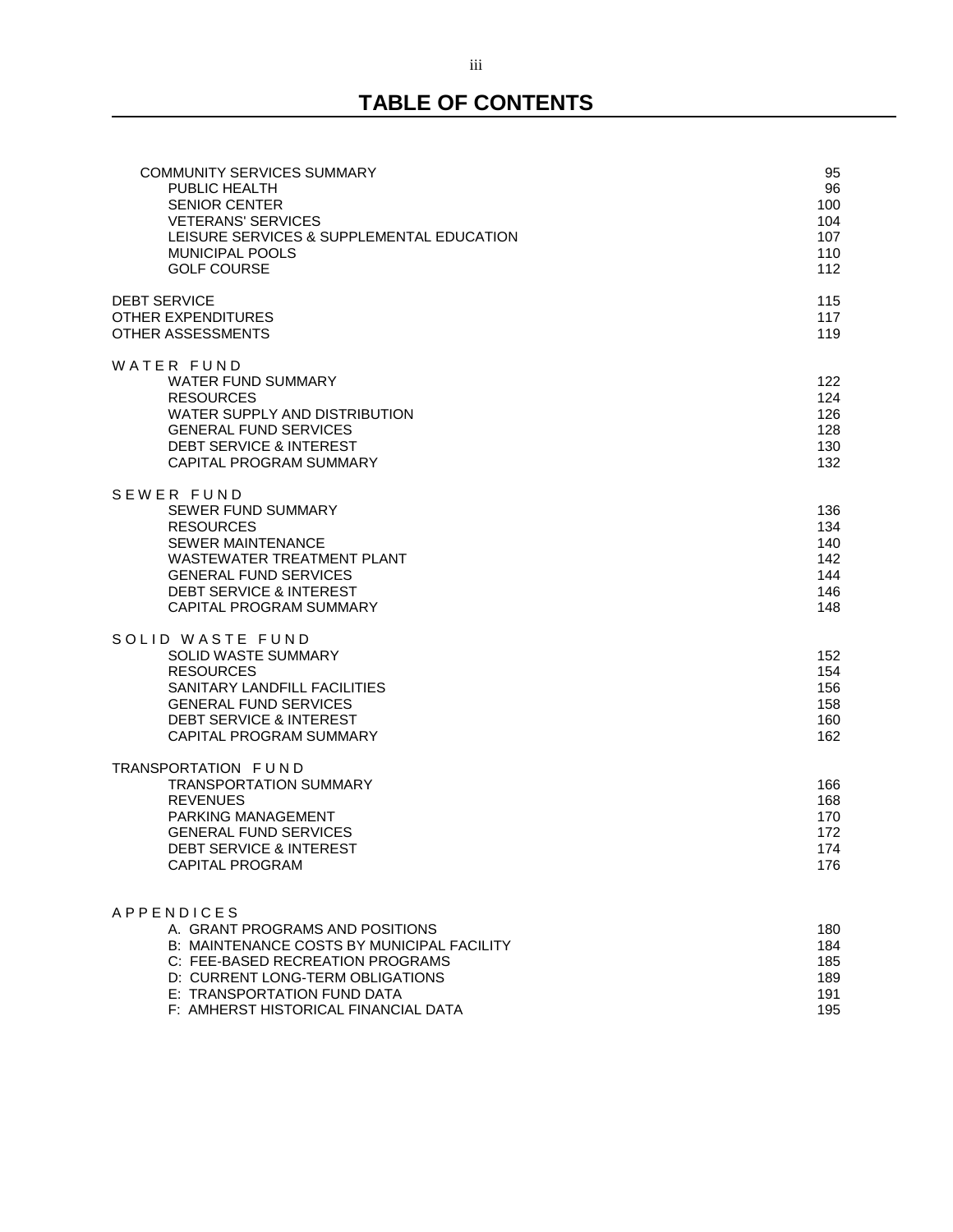## **TABLE OF CONTENTS**

| <b>COMMUNITY SERVICES SUMMARY</b><br>PUBLIC HEALTH<br><b>SENIOR CENTER</b><br><b>VETERANS' SERVICES</b><br>LEISURE SERVICES & SUPPLEMENTAL EDUCATION<br><b>MUNICIPAL POOLS</b><br><b>GOLF COURSE</b>                                              | 95<br>96<br>100<br>104<br>107<br>110<br>112   |
|---------------------------------------------------------------------------------------------------------------------------------------------------------------------------------------------------------------------------------------------------|-----------------------------------------------|
| <b>DEBT SERVICE</b><br>OTHER EXPENDITURES<br><b>OTHER ASSESSMENTS</b>                                                                                                                                                                             | 115<br>117<br>119                             |
| WATER FUND<br><b>WATER FUND SUMMARY</b><br><b>RESOURCES</b><br>WATER SUPPLY AND DISTRIBUTION<br><b>GENERAL FUND SERVICES</b><br><b>DEBT SERVICE &amp; INTEREST</b><br>CAPITAL PROGRAM SUMMARY                                                     | 122<br>124<br>126<br>128<br>130<br>132        |
| SEWER FUND<br><b>SEWER FUND SUMMARY</b><br><b>RESOURCES</b><br><b>SEWER MAINTENANCE</b><br><b>WASTEWATER TREATMENT PLANT</b><br><b>GENERAL FUND SERVICES</b><br><b>DEBT SERVICE &amp; INTEREST</b><br>CAPITAL PROGRAM SUMMARY                     | 136<br>134<br>140<br>142<br>144<br>146<br>148 |
| SOLID WASTE FUND<br><b>SOLID WASTE SUMMARY</b><br><b>RESOURCES</b><br>SANITARY LANDFILL FACILITIES<br><b>GENERAL FUND SERVICES</b><br><b>DEBT SERVICE &amp; INTEREST</b><br>CAPITAL PROGRAM SUMMARY                                               | 152<br>154<br>156<br>158<br>160<br>162        |
| TRANSPORTATION FUND<br><b>TRANSPORTATION SUMMARY</b><br><b>REVENUES</b><br>PARKING MANAGEMENT<br><b>GENERAL FUND SERVICES</b><br><b>DEBT SERVICE &amp; INTEREST</b><br>CAPITAL PROGRAM                                                            | 166<br>168<br>170<br>172<br>174<br>176        |
| <b>APPENDICES</b><br>A. GRANT PROGRAMS AND POSITIONS<br>B: MAINTENANCE COSTS BY MUNICIPAL FACILITY<br>C: FEE-BASED RECREATION PROGRAMS<br>D: CURRENT LONG-TERM OBLIGATIONS<br>E: TRANSPORTATION FUND DATA<br>F: AMHERST HISTORICAL FINANCIAL DATA | 180<br>184<br>185<br>189<br>191<br>195        |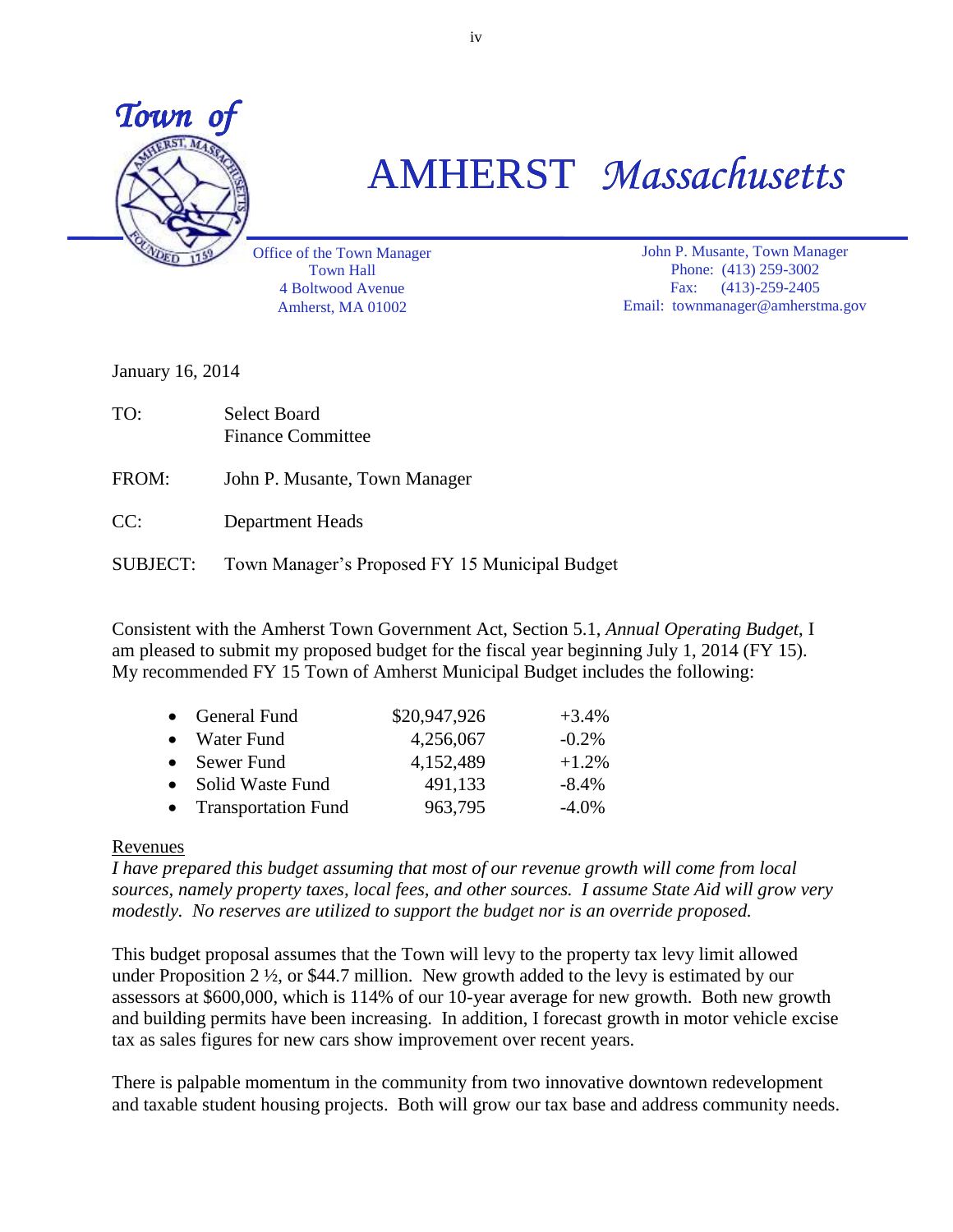

## AMHERST *Massachusetts*

Office of the Town Manager Town Hall 4 Boltwood Avenue Amherst, MA 01002

John P. Musante, Town Manager Phone: (413) 259-3002 Fax: (413)-259-2405 Email: townmanager@amherstma.gov

January 16, 2014

- TO: Select Board Finance Committee
- FROM: John P. Musante, Town Manager
- CC: Department Heads

SUBJECT: Town Manager's Proposed FY 15 Municipal Budget

Consistent with the Amherst Town Government Act, Section 5.1, *Annual Operating Budget*, I am pleased to submit my proposed budget for the fiscal year beginning July 1, 2014 (FY 15). My recommended FY 15 Town of Amherst Municipal Budget includes the following:

| • General Fund        | \$20,947,926 | $+3.4%$  |
|-----------------------|--------------|----------|
| • Water Fund          | 4,256,067    | $-0.2\%$ |
| • Sewer Fund          | 4,152,489    | $+1.2\%$ |
| Solid Waste Fund      | 491,133      | $-8.4%$  |
| • Transportation Fund | 963,795      | $-4.0\%$ |

### Revenues

*I have prepared this budget assuming that most of our revenue growth will come from local sources, namely property taxes, local fees, and other sources. I assume State Aid will grow very modestly. No reserves are utilized to support the budget nor is an override proposed.*

This budget proposal assumes that the Town will levy to the property tax levy limit allowed under Proposition 2  $\frac{1}{2}$ , or \$44.7 million. New growth added to the levy is estimated by our assessors at \$600,000, which is 114% of our 10-year average for new growth. Both new growth and building permits have been increasing. In addition, I forecast growth in motor vehicle excise tax as sales figures for new cars show improvement over recent years.

There is palpable momentum in the community from two innovative downtown redevelopment and taxable student housing projects. Both will grow our tax base and address community needs.

iv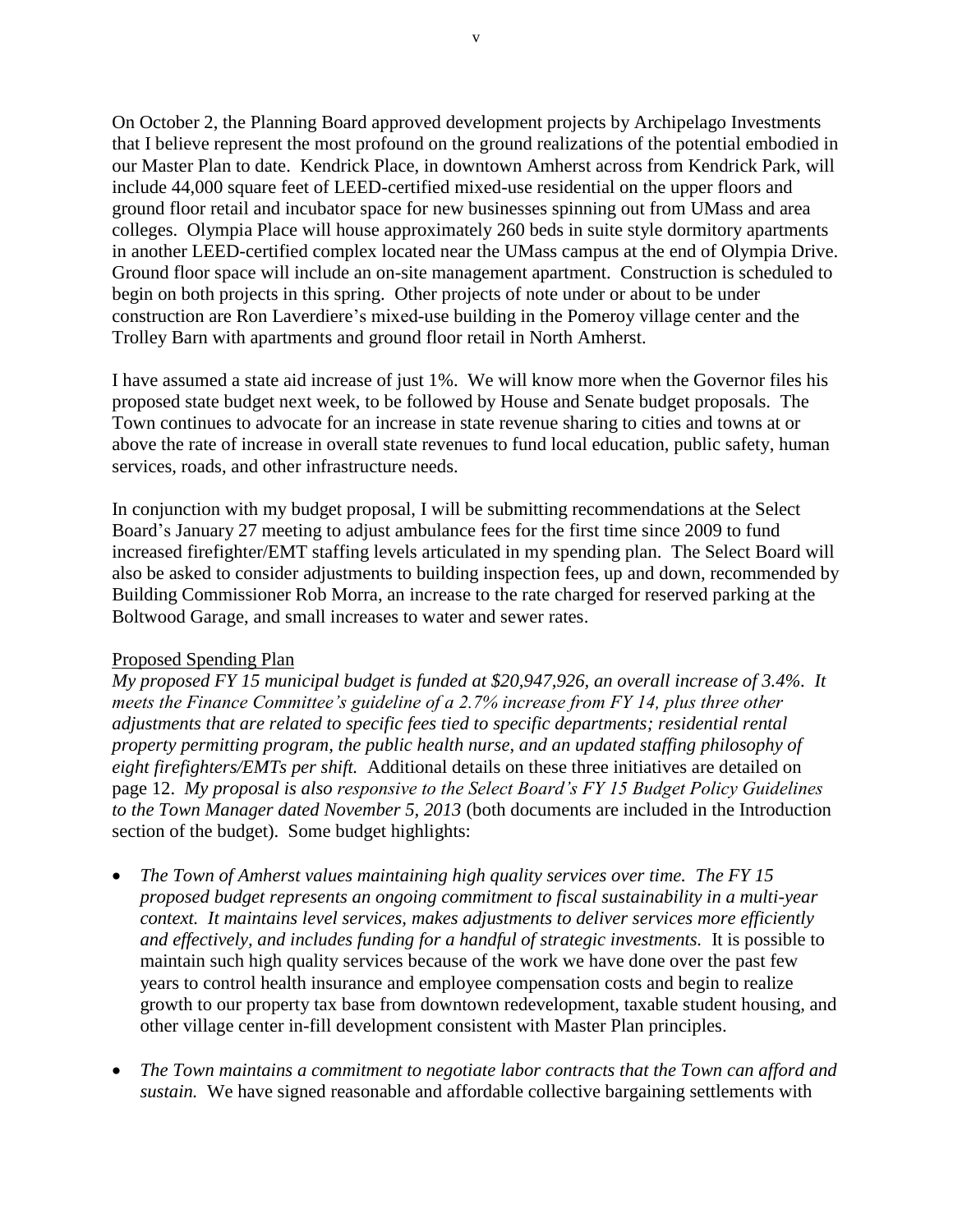On October 2, the Planning Board approved development projects by Archipelago Investments that I believe represent the most profound on the ground realizations of the potential embodied in our Master Plan to date. Kendrick Place, in downtown Amherst across from Kendrick Park, will include 44,000 square feet of LEED-certified mixed-use residential on the upper floors and ground floor retail and incubator space for new businesses spinning out from UMass and area colleges. Olympia Place will house approximately 260 beds in suite style dormitory apartments in another LEED-certified complex located near the UMass campus at the end of Olympia Drive. Ground floor space will include an on-site management apartment. Construction is scheduled to begin on both projects in this spring. Other projects of note under or about to be under construction are Ron Laverdiere's mixed-use building in the Pomeroy village center and the Trolley Barn with apartments and ground floor retail in North Amherst.

I have assumed a state aid increase of just 1%. We will know more when the Governor files his proposed state budget next week, to be followed by House and Senate budget proposals. The Town continues to advocate for an increase in state revenue sharing to cities and towns at or above the rate of increase in overall state revenues to fund local education, public safety, human services, roads, and other infrastructure needs.

In conjunction with my budget proposal, I will be submitting recommendations at the Select Board's January 27 meeting to adjust ambulance fees for the first time since 2009 to fund increased firefighter/EMT staffing levels articulated in my spending plan. The Select Board will also be asked to consider adjustments to building inspection fees, up and down, recommended by Building Commissioner Rob Morra, an increase to the rate charged for reserved parking at the Boltwood Garage, and small increases to water and sewer rates.

### Proposed Spending Plan

*My proposed FY 15 municipal budget is funded at \$20,947,926, an overall increase of 3.4%. It meets the Finance Committee's guideline of a 2.7% increase from FY 14, plus three other adjustments that are related to specific fees tied to specific departments; residential rental property permitting program, the public health nurse, and an updated staffing philosophy of eight firefighters/EMTs per shift.* Additional details on these three initiatives are detailed on page 12. *My proposal is also responsive to the Select Board's FY 15 Budget Policy Guidelines to the Town Manager dated November 5, 2013* (both documents are included in the Introduction section of the budget). Some budget highlights:

- *The Town of Amherst values maintaining high quality services over time. The FY 15 proposed budget represents an ongoing commitment to fiscal sustainability in a multi-year context. It maintains level services, makes adjustments to deliver services more efficiently and effectively, and includes funding for a handful of strategic investments.* It is possible to maintain such high quality services because of the work we have done over the past few years to control health insurance and employee compensation costs and begin to realize growth to our property tax base from downtown redevelopment, taxable student housing, and other village center in-fill development consistent with Master Plan principles.
- *The Town maintains a commitment to negotiate labor contracts that the Town can afford and sustain.* We have signed reasonable and affordable collective bargaining settlements with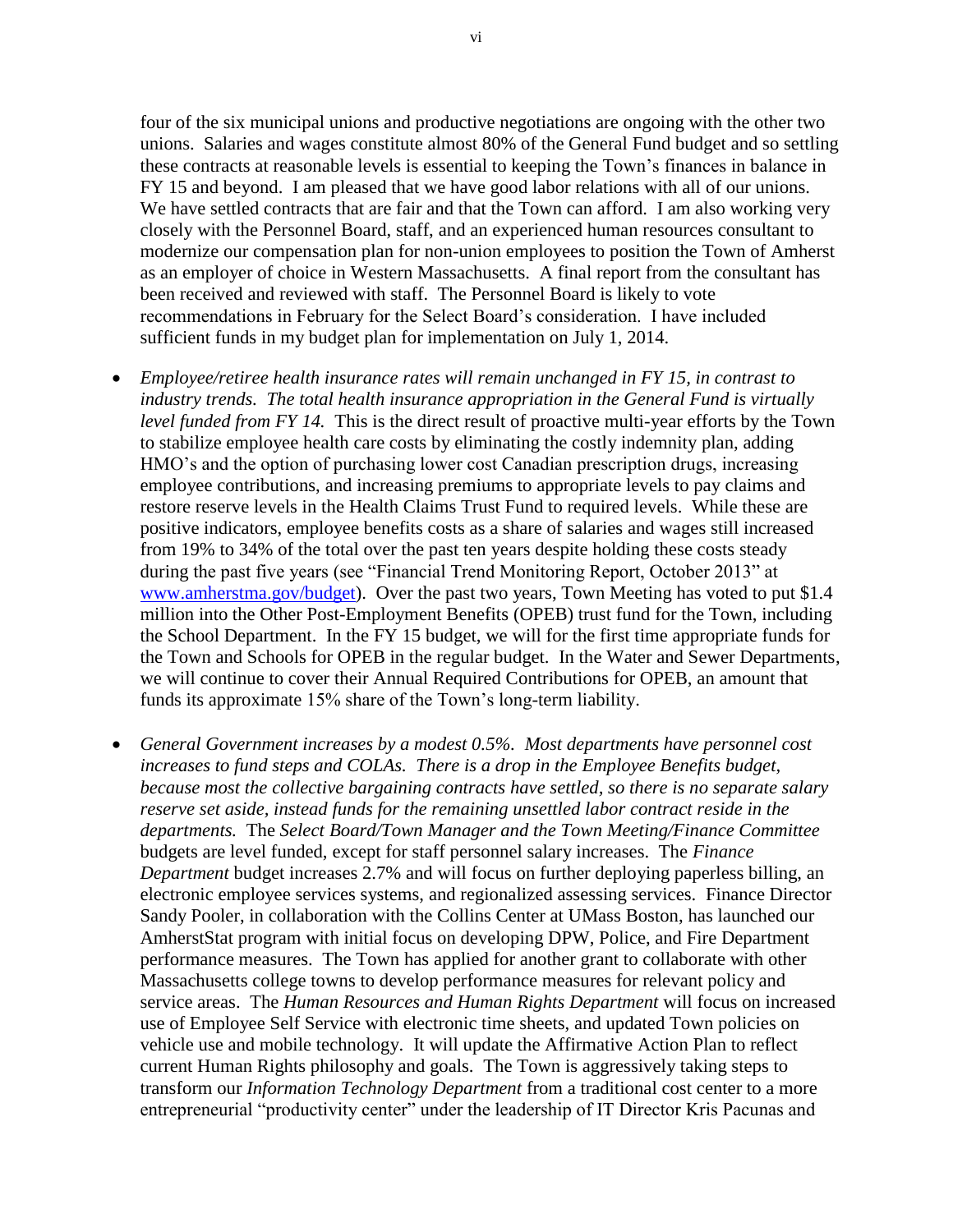four of the six municipal unions and productive negotiations are ongoing with the other two unions. Salaries and wages constitute almost 80% of the General Fund budget and so settling these contracts at reasonable levels is essential to keeping the Town's finances in balance in FY 15 and beyond. I am pleased that we have good labor relations with all of our unions. We have settled contracts that are fair and that the Town can afford. I am also working very closely with the Personnel Board, staff, and an experienced human resources consultant to modernize our compensation plan for non-union employees to position the Town of Amherst as an employer of choice in Western Massachusetts. A final report from the consultant has been received and reviewed with staff. The Personnel Board is likely to vote recommendations in February for the Select Board's consideration. I have included sufficient funds in my budget plan for implementation on July 1, 2014.

- *Employee/retiree health insurance rates will remain unchanged in FY 15, in contrast to industry trends. The total health insurance appropriation in the General Fund is virtually level funded from FY 14.* This is the direct result of proactive multi-year efforts by the Town to stabilize employee health care costs by eliminating the costly indemnity plan, adding HMO's and the option of purchasing lower cost Canadian prescription drugs, increasing employee contributions, and increasing premiums to appropriate levels to pay claims and restore reserve levels in the Health Claims Trust Fund to required levels. While these are positive indicators, employee benefits costs as a share of salaries and wages still increased from 19% to 34% of the total over the past ten years despite holding these costs steady during the past five years (see "Financial Trend Monitoring Report, October 2013" at [www.amherstma.gov/budget\)](http://www.amherstma.gov/budget). Over the past two years, Town Meeting has voted to put \$1.4 million into the Other Post-Employment Benefits (OPEB) trust fund for the Town, including the School Department. In the FY 15 budget, we will for the first time appropriate funds for the Town and Schools for OPEB in the regular budget. In the Water and Sewer Departments, we will continue to cover their Annual Required Contributions for OPEB, an amount that funds its approximate 15% share of the Town's long-term liability.
- *General Government increases by a modest 0.5%. Most departments have personnel cost increases to fund steps and COLAs. There is a drop in the Employee Benefits budget, because most the collective bargaining contracts have settled, so there is no separate salary reserve set aside, instead funds for the remaining unsettled labor contract reside in the departments.* The *Select Board/Town Manager and the Town Meeting/Finance Committee* budgets are level funded, except for staff personnel salary increases. The *Finance Department* budget increases 2.7% and will focus on further deploying paperless billing, an electronic employee services systems, and regionalized assessing services. Finance Director Sandy Pooler, in collaboration with the Collins Center at UMass Boston, has launched our AmherstStat program with initial focus on developing DPW, Police, and Fire Department performance measures. The Town has applied for another grant to collaborate with other Massachusetts college towns to develop performance measures for relevant policy and service areas. The *Human Resources and Human Rights Department* will focus on increased use of Employee Self Service with electronic time sheets, and updated Town policies on vehicle use and mobile technology. It will update the Affirmative Action Plan to reflect current Human Rights philosophy and goals. The Town is aggressively taking steps to transform our *Information Technology Department* from a traditional cost center to a more entrepreneurial "productivity center" under the leadership of IT Director Kris Pacunas and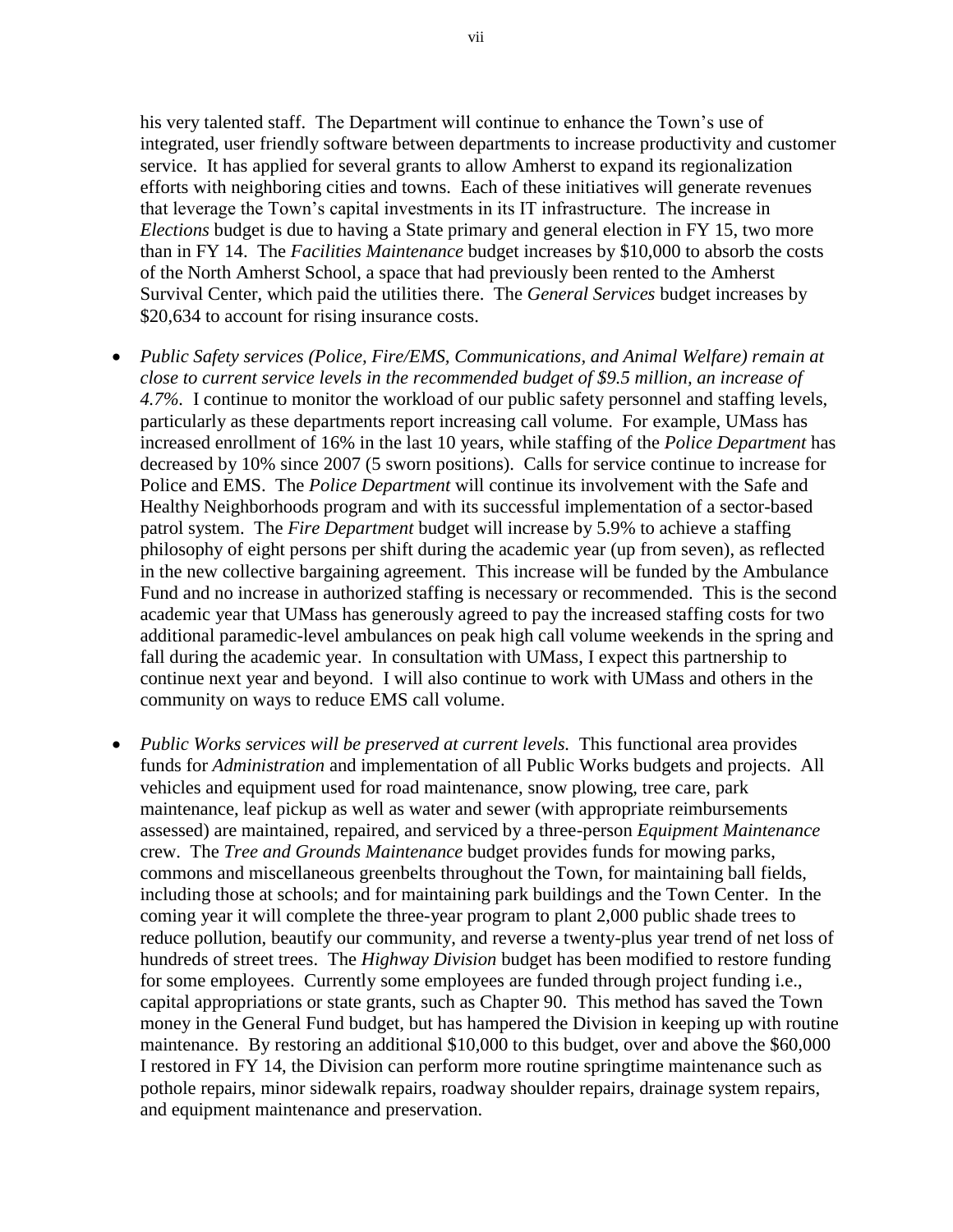his very talented staff. The Department will continue to enhance the Town's use of integrated, user friendly software between departments to increase productivity and customer service. It has applied for several grants to allow Amherst to expand its regionalization efforts with neighboring cities and towns. Each of these initiatives will generate revenues that leverage the Town's capital investments in its IT infrastructure. The increase in *Elections* budget is due to having a State primary and general election in FY 15, two more than in FY 14. The *Facilities Maintenance* budget increases by \$10,000 to absorb the costs of the North Amherst School, a space that had previously been rented to the Amherst Survival Center, which paid the utilities there. The *General Services* budget increases by \$20,634 to account for rising insurance costs.

- *Public Safety services (Police, Fire/EMS, Communications, and Animal Welfare) remain at close to current service levels in the recommended budget of \$9.5 million, an increase of 4.7%.* I continue to monitor the workload of our public safety personnel and staffing levels, particularly as these departments report increasing call volume. For example, UMass has increased enrollment of 16% in the last 10 years, while staffing of the *Police Department* has decreased by 10% since 2007 (5 sworn positions). Calls for service continue to increase for Police and EMS. The *Police Department* will continue its involvement with the Safe and Healthy Neighborhoods program and with its successful implementation of a sector-based patrol system. The *Fire Department* budget will increase by 5.9% to achieve a staffing philosophy of eight persons per shift during the academic year (up from seven), as reflected in the new collective bargaining agreement. This increase will be funded by the Ambulance Fund and no increase in authorized staffing is necessary or recommended. This is the second academic year that UMass has generously agreed to pay the increased staffing costs for two additional paramedic-level ambulances on peak high call volume weekends in the spring and fall during the academic year. In consultation with UMass, I expect this partnership to continue next year and beyond. I will also continue to work with UMass and others in the community on ways to reduce EMS call volume.
- *Public Works services will be preserved at current levels.* This functional area provides funds for *Administration* and implementation of all Public Works budgets and projects. All vehicles and equipment used for road maintenance, snow plowing, tree care, park maintenance, leaf pickup as well as water and sewer (with appropriate reimbursements assessed) are maintained, repaired, and serviced by a three-person *Equipment Maintenance* crew. The *Tree and Grounds Maintenance* budget provides funds for mowing parks, commons and miscellaneous greenbelts throughout the Town, for maintaining ball fields, including those at schools; and for maintaining park buildings and the Town Center. In the coming year it will complete the three-year program to plant 2,000 public shade trees to reduce pollution, beautify our community, and reverse a twenty-plus year trend of net loss of hundreds of street trees. The *Highway Division* budget has been modified to restore funding for some employees. Currently some employees are funded through project funding i.e., capital appropriations or state grants, such as Chapter 90. This method has saved the Town money in the General Fund budget, but has hampered the Division in keeping up with routine maintenance. By restoring an additional \$10,000 to this budget, over and above the \$60,000 I restored in FY 14, the Division can perform more routine springtime maintenance such as pothole repairs, minor sidewalk repairs, roadway shoulder repairs, drainage system repairs, and equipment maintenance and preservation.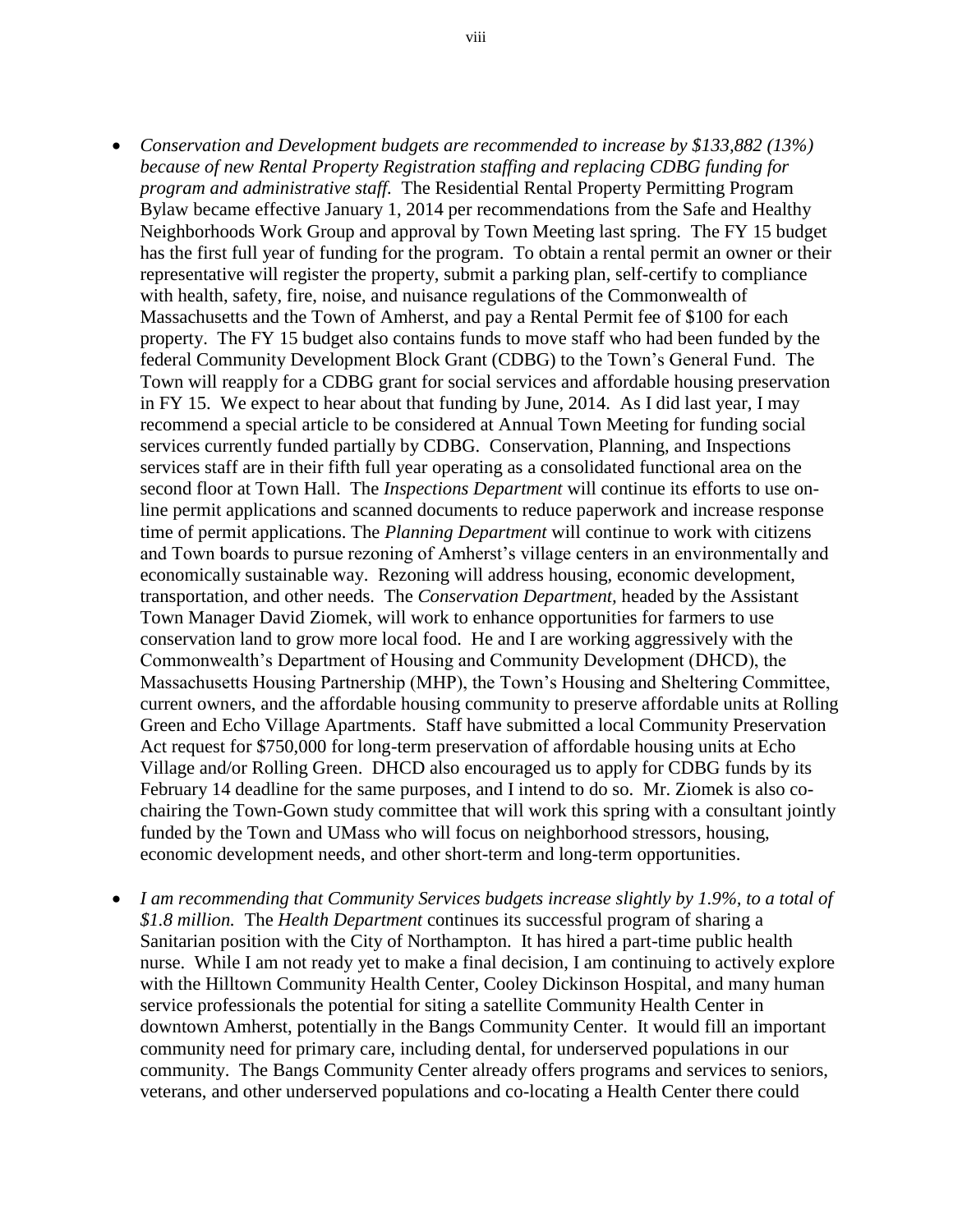- *Conservation and Development budgets are recommended to increase by \$133,882 (13%) because of new Rental Property Registration staffing and replacing CDBG funding for program and administrative staff.* The Residential Rental Property Permitting Program Bylaw became effective January 1, 2014 per recommendations from the Safe and Healthy Neighborhoods Work Group and approval by Town Meeting last spring. The FY 15 budget has the first full year of funding for the program. To obtain a rental permit an owner or their representative will register the property, submit a parking plan, self-certify to compliance with health, safety, fire, noise, and nuisance regulations of the Commonwealth of Massachusetts and the Town of Amherst, and pay a Rental Permit fee of \$100 for each property. The FY 15 budget also contains funds to move staff who had been funded by the federal Community Development Block Grant (CDBG) to the Town's General Fund. The Town will reapply for a CDBG grant for social services and affordable housing preservation in FY 15. We expect to hear about that funding by June, 2014. As I did last year, I may recommend a special article to be considered at Annual Town Meeting for funding social services currently funded partially by CDBG. Conservation, Planning, and Inspections services staff are in their fifth full year operating as a consolidated functional area on the second floor at Town Hall. The *Inspections Department* will continue its efforts to use online permit applications and scanned documents to reduce paperwork and increase response time of permit applications. The *Planning Department* will continue to work with citizens and Town boards to pursue rezoning of Amherst's village centers in an environmentally and economically sustainable way. Rezoning will address housing, economic development, transportation, and other needs. The *Conservation Department,* headed by the Assistant Town Manager David Ziomek, will work to enhance opportunities for farmers to use conservation land to grow more local food. He and I are working aggressively with the Commonwealth's Department of Housing and Community Development (DHCD), the Massachusetts Housing Partnership (MHP), the Town's Housing and Sheltering Committee, current owners, and the affordable housing community to preserve affordable units at Rolling Green and Echo Village Apartments. Staff have submitted a local Community Preservation Act request for \$750,000 for long-term preservation of affordable housing units at Echo Village and/or Rolling Green. DHCD also encouraged us to apply for CDBG funds by its February 14 deadline for the same purposes, and I intend to do so. Mr. Ziomek is also cochairing the Town-Gown study committee that will work this spring with a consultant jointly funded by the Town and UMass who will focus on neighborhood stressors, housing, economic development needs, and other short-term and long-term opportunities.
- *I am recommending that Community Services budgets increase slightly by 1.9%, to a total of \$1.8 million.* The *Health Department* continues its successful program of sharing a Sanitarian position with the City of Northampton. It has hired a part-time public health nurse. While I am not ready yet to make a final decision, I am continuing to actively explore with the Hilltown Community Health Center, Cooley Dickinson Hospital, and many human service professionals the potential for siting a satellite Community Health Center in downtown Amherst, potentially in the Bangs Community Center. It would fill an important community need for primary care, including dental, for underserved populations in our community. The Bangs Community Center already offers programs and services to seniors, veterans, and other underserved populations and co-locating a Health Center there could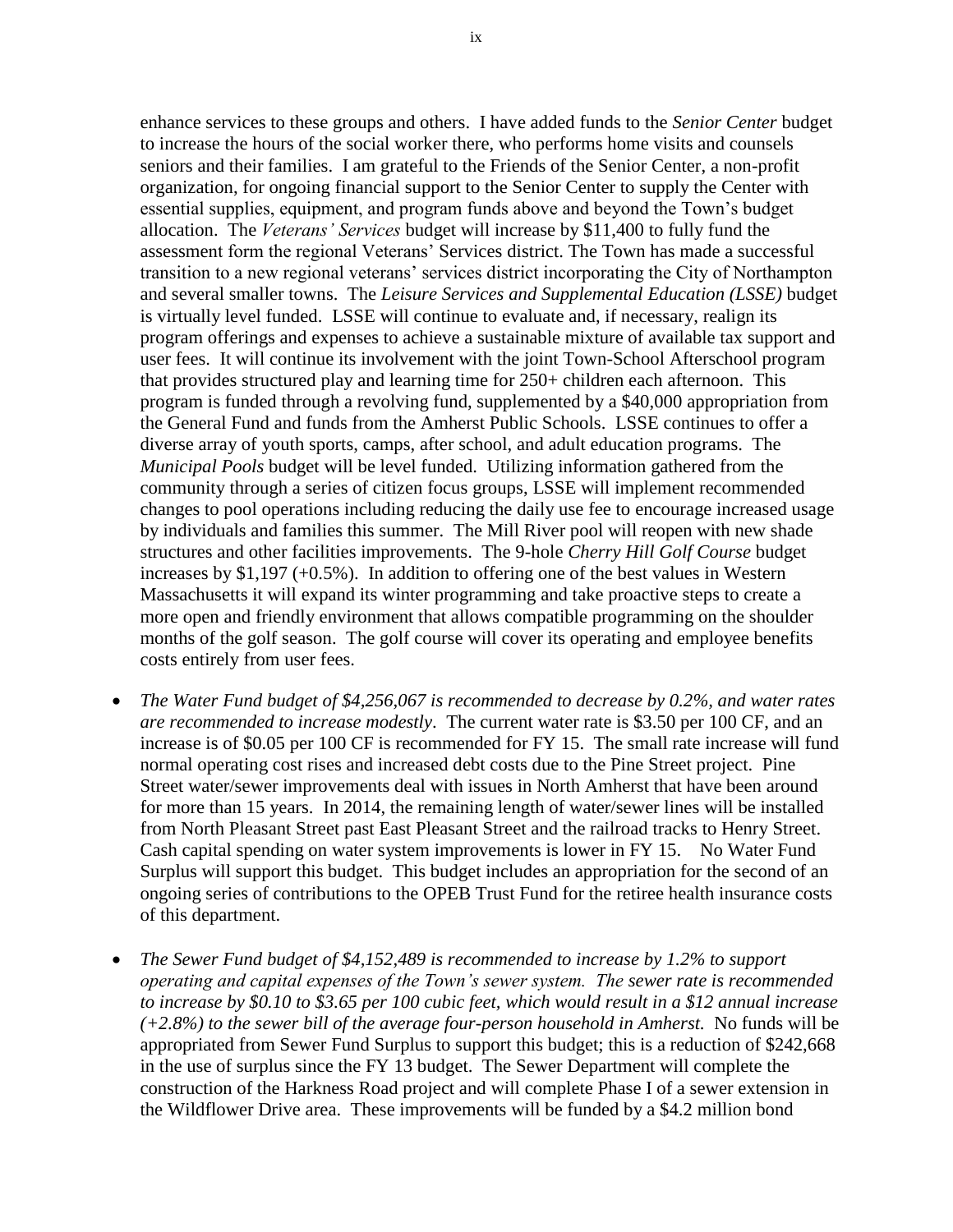enhance services to these groups and others. I have added funds to the *Senior Center* budget to increase the hours of the social worker there, who performs home visits and counsels seniors and their families. I am grateful to the Friends of the Senior Center, a non-profit organization, for ongoing financial support to the Senior Center to supply the Center with essential supplies, equipment, and program funds above and beyond the Town's budget allocation. The *Veterans' Services* budget will increase by \$11,400 to fully fund the assessment form the regional Veterans' Services district. The Town has made a successful transition to a new regional veterans' services district incorporating the City of Northampton and several smaller towns. The *Leisure Services and Supplemental Education (LSSE)* budget is virtually level funded. LSSE will continue to evaluate and, if necessary, realign its program offerings and expenses to achieve a sustainable mixture of available tax support and user fees. It will continue its involvement with the joint Town-School Afterschool program that provides structured play and learning time for 250+ children each afternoon. This program is funded through a revolving fund, supplemented by a \$40,000 appropriation from the General Fund and funds from the Amherst Public Schools. LSSE continues to offer a diverse array of youth sports, camps, after school, and adult education programs. The *Municipal Pools* budget will be level funded. Utilizing information gathered from the community through a series of citizen focus groups, LSSE will implement recommended changes to pool operations including reducing the daily use fee to encourage increased usage by individuals and families this summer. The Mill River pool will reopen with new shade structures and other facilities improvements. The 9-hole *Cherry Hill Golf Course* budget increases by \$1,197 (+0.5%). In addition to offering one of the best values in Western Massachusetts it will expand its winter programming and take proactive steps to create a more open and friendly environment that allows compatible programming on the shoulder months of the golf season. The golf course will cover its operating and employee benefits costs entirely from user fees.

- *The Water Fund budget of \$4,256,067 is recommended to decrease by 0.2%, and water rates are recommended to increase modestly*. The current water rate is \$3.50 per 100 CF, and an increase is of \$0.05 per 100 CF is recommended for FY 15. The small rate increase will fund normal operating cost rises and increased debt costs due to the Pine Street project. Pine Street water/sewer improvements deal with issues in North Amherst that have been around for more than 15 years. In 2014, the remaining length of water/sewer lines will be installed from North Pleasant Street past East Pleasant Street and the railroad tracks to Henry Street. Cash capital spending on water system improvements is lower in FY 15. No Water Fund Surplus will support this budget. This budget includes an appropriation for the second of an ongoing series of contributions to the OPEB Trust Fund for the retiree health insurance costs of this department.
- *The Sewer Fund budget of \$4,152,489 is recommended to increase by 1.2% to support operating and capital expenses of the Town's sewer system. The sewer rate is recommended to increase by \$0.10 to \$3.65 per 100 cubic feet, which would result in a \$12 annual increase (+2.8%) to the sewer bill of the average four-person household in Amherst.* No funds will be appropriated from Sewer Fund Surplus to support this budget; this is a reduction of \$242,668 in the use of surplus since the FY 13 budget. The Sewer Department will complete the construction of the Harkness Road project and will complete Phase I of a sewer extension in the Wildflower Drive area. These improvements will be funded by a \$4.2 million bond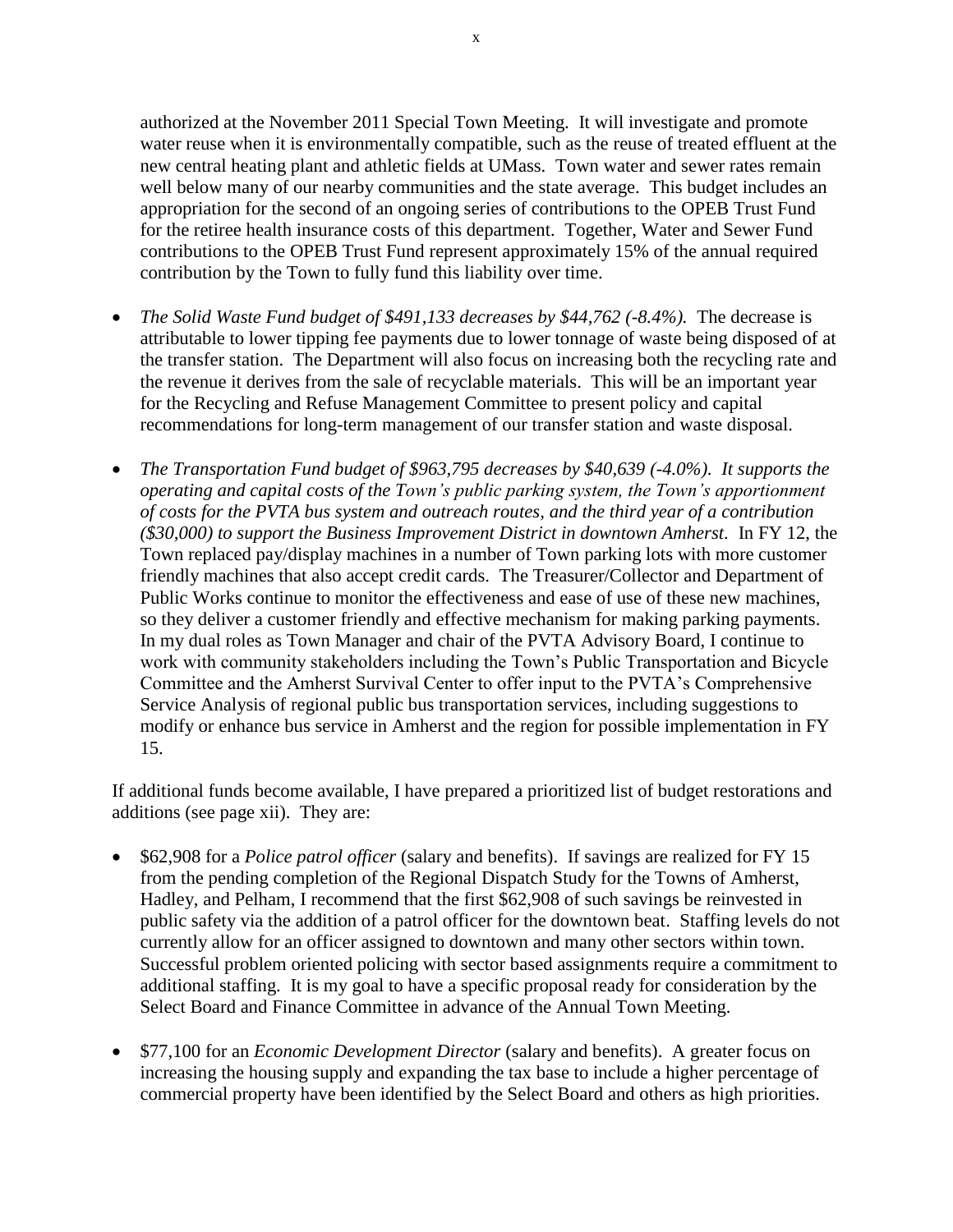authorized at the November 2011 Special Town Meeting. It will investigate and promote water reuse when it is environmentally compatible, such as the reuse of treated effluent at the new central heating plant and athletic fields at UMass. Town water and sewer rates remain well below many of our nearby communities and the state average. This budget includes an appropriation for the second of an ongoing series of contributions to the OPEB Trust Fund for the retiree health insurance costs of this department. Together, Water and Sewer Fund contributions to the OPEB Trust Fund represent approximately 15% of the annual required contribution by the Town to fully fund this liability over time.

- The Solid Waste Fund budget of \$491,133 decreases by \$44,762 (-8.4%). The decrease is attributable to lower tipping fee payments due to lower tonnage of waste being disposed of at the transfer station. The Department will also focus on increasing both the recycling rate and the revenue it derives from the sale of recyclable materials. This will be an important year for the Recycling and Refuse Management Committee to present policy and capital recommendations for long-term management of our transfer station and waste disposal.
- *The Transportation Fund budget of \$963,795 decreases by \$40,639 (-4.0%). It supports the operating and capital costs of the Town's public parking system, the Town's apportionment of costs for the PVTA bus system and outreach routes, and the third year of a contribution (\$30,000) to support the Business Improvement District in downtown Amherst.* In FY 12, the Town replaced pay/display machines in a number of Town parking lots with more customer friendly machines that also accept credit cards. The Treasurer/Collector and Department of Public Works continue to monitor the effectiveness and ease of use of these new machines, so they deliver a customer friendly and effective mechanism for making parking payments. In my dual roles as Town Manager and chair of the PVTA Advisory Board, I continue to work with community stakeholders including the Town's Public Transportation and Bicycle Committee and the Amherst Survival Center to offer input to the PVTA's Comprehensive Service Analysis of regional public bus transportation services, including suggestions to modify or enhance bus service in Amherst and the region for possible implementation in FY 15.

If additional funds become available, I have prepared a prioritized list of budget restorations and additions (see page xii). They are:

- \$62,908 for a *Police patrol officer* (salary and benefits). If savings are realized for FY 15 from the pending completion of the Regional Dispatch Study for the Towns of Amherst, Hadley, and Pelham, I recommend that the first \$62,908 of such savings be reinvested in public safety via the addition of a patrol officer for the downtown beat. Staffing levels do not currently allow for an officer assigned to downtown and many other sectors within town. Successful problem oriented policing with sector based assignments require a commitment to additional staffing. It is my goal to have a specific proposal ready for consideration by the Select Board and Finance Committee in advance of the Annual Town Meeting.
- \$77,100 for an *Economic Development Director* (salary and benefits). A greater focus on increasing the housing supply and expanding the tax base to include a higher percentage of commercial property have been identified by the Select Board and others as high priorities.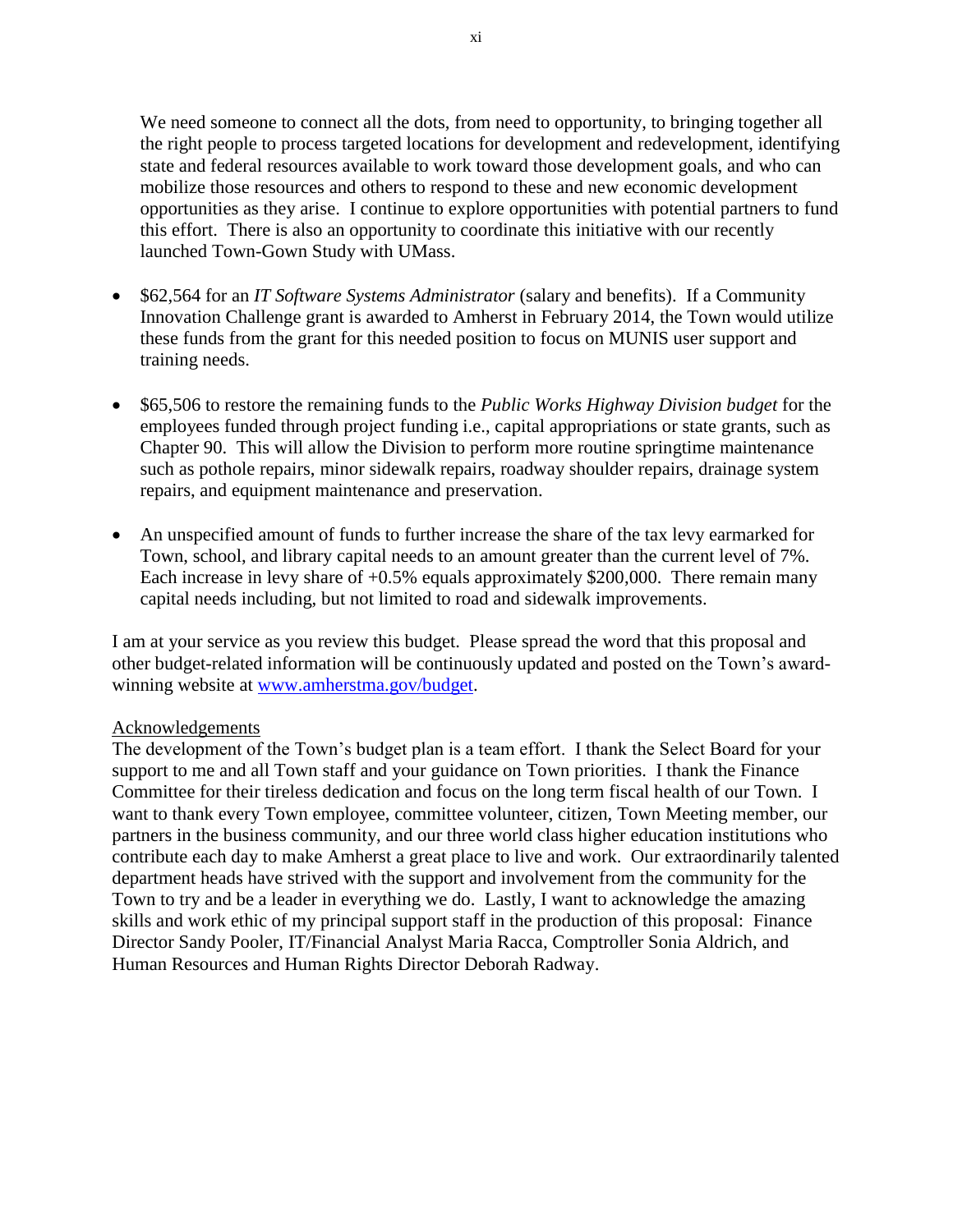We need someone to connect all the dots, from need to opportunity, to bringing together all the right people to process targeted locations for development and redevelopment, identifying state and federal resources available to work toward those development goals, and who can mobilize those resources and others to respond to these and new economic development opportunities as they arise. I continue to explore opportunities with potential partners to fund this effort. There is also an opportunity to coordinate this initiative with our recently launched Town-Gown Study with UMass.

- \$62,564 for an *IT Software Systems Administrator* (salary and benefits). If a Community Innovation Challenge grant is awarded to Amherst in February 2014, the Town would utilize these funds from the grant for this needed position to focus on MUNIS user support and training needs.
- \$65,506 to restore the remaining funds to the *Public Works Highway Division budget* for the employees funded through project funding i.e., capital appropriations or state grants, such as Chapter 90. This will allow the Division to perform more routine springtime maintenance such as pothole repairs, minor sidewalk repairs, roadway shoulder repairs, drainage system repairs, and equipment maintenance and preservation.
- An unspecified amount of funds to further increase the share of the tax levy earmarked for Town, school, and library capital needs to an amount greater than the current level of 7%. Each increase in levy share of  $+0.5\%$  equals approximately \$200,000. There remain many capital needs including, but not limited to road and sidewalk improvements.

I am at your service as you review this budget. Please spread the word that this proposal and other budget-related information will be continuously updated and posted on the Town's awardwinning website at [www.amherstma.gov/budget.](http://www.amherstma.gov/budget)

### Acknowledgements

The development of the Town's budget plan is a team effort. I thank the Select Board for your support to me and all Town staff and your guidance on Town priorities. I thank the Finance Committee for their tireless dedication and focus on the long term fiscal health of our Town. I want to thank every Town employee, committee volunteer, citizen, Town Meeting member, our partners in the business community, and our three world class higher education institutions who contribute each day to make Amherst a great place to live and work. Our extraordinarily talented department heads have strived with the support and involvement from the community for the Town to try and be a leader in everything we do. Lastly, I want to acknowledge the amazing skills and work ethic of my principal support staff in the production of this proposal: Finance Director Sandy Pooler, IT/Financial Analyst Maria Racca, Comptroller Sonia Aldrich, and Human Resources and Human Rights Director Deborah Radway.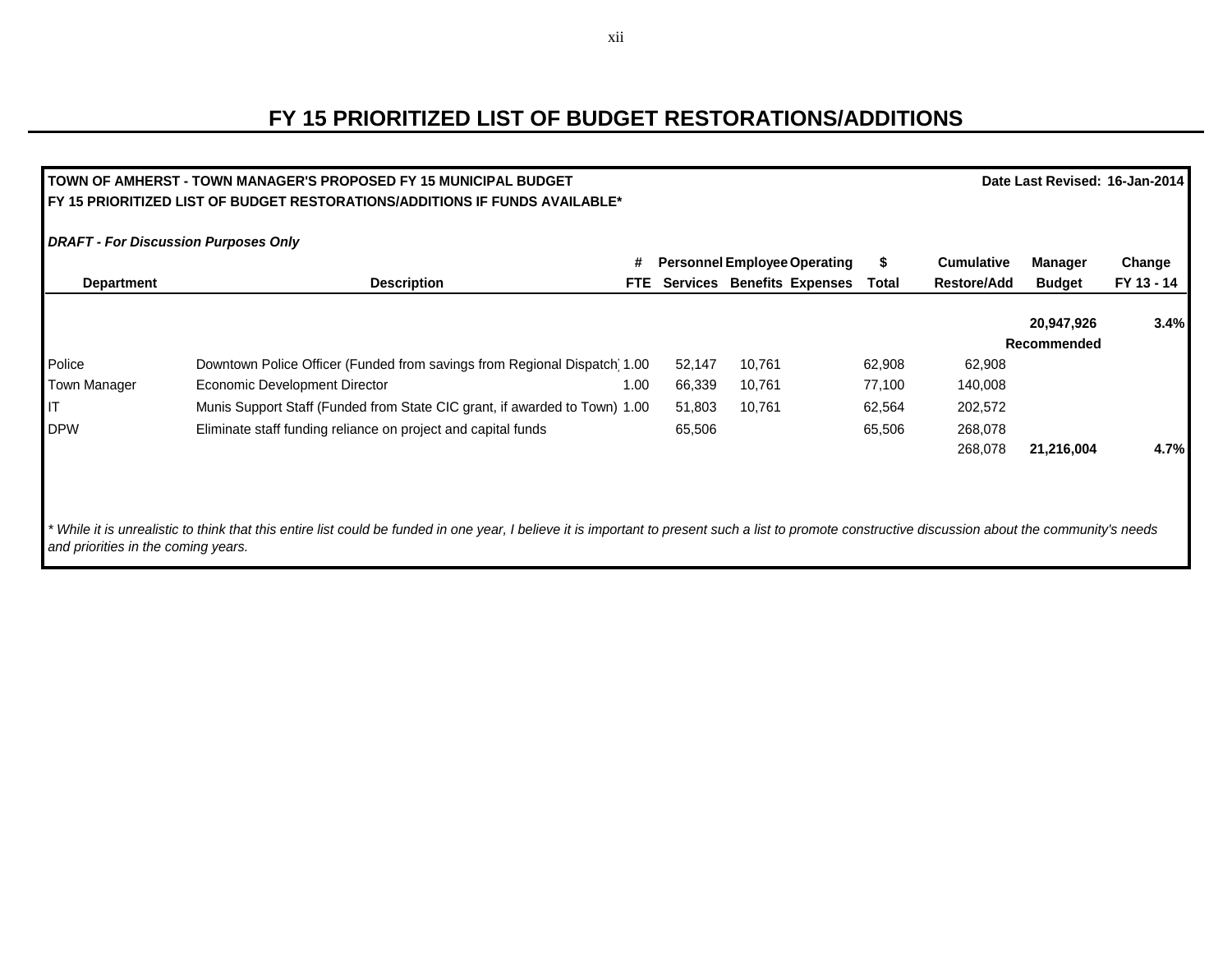## **FY 15 PRIORITIZED LIST OF BUDGET RESTORATIONS/ADDITIONS**

| TOWN OF AMHERST - TOWN MANAGER'S PROPOSED FY 15 MUNICIPAL BUDGET<br>Date Last Revised: 16-Jan-2014 |                                                                                                                                                                                                     |      |        |                                     |        |                    |                    |            |  |  |  |
|----------------------------------------------------------------------------------------------------|-----------------------------------------------------------------------------------------------------------------------------------------------------------------------------------------------------|------|--------|-------------------------------------|--------|--------------------|--------------------|------------|--|--|--|
|                                                                                                    | FY 15 PRIORITIZED LIST OF BUDGET RESTORATIONS/ADDITIONS IF FUNDS AVAILABLE*                                                                                                                         |      |        |                                     |        |                    |                    |            |  |  |  |
| <b>DRAFT - For Discussion Purposes Only</b>                                                        |                                                                                                                                                                                                     |      |        |                                     |        |                    |                    |            |  |  |  |
|                                                                                                    |                                                                                                                                                                                                     | #    |        | <b>Personnel Employee Operating</b> | \$     | <b>Cumulative</b>  | <b>Manager</b>     | Change     |  |  |  |
| <b>Department</b>                                                                                  | <b>Description</b>                                                                                                                                                                                  | FTE. |        | <b>Services Benefits Expenses</b>   | Total  | <b>Restore/Add</b> | <b>Budget</b>      | FY 13 - 14 |  |  |  |
|                                                                                                    |                                                                                                                                                                                                     |      |        |                                     |        |                    | 20,947,926         | 3.4%       |  |  |  |
|                                                                                                    |                                                                                                                                                                                                     |      |        |                                     |        |                    | <b>Recommended</b> |            |  |  |  |
| Police                                                                                             | Downtown Police Officer (Funded from savings from Regional Dispatch 1.00                                                                                                                            |      | 52,147 | 10,761                              | 62,908 | 62,908             |                    |            |  |  |  |
| Town Manager                                                                                       | Economic Development Director                                                                                                                                                                       | 1.00 | 66,339 | 10,761                              | 77,100 | 140,008            |                    |            |  |  |  |
|                                                                                                    | Munis Support Staff (Funded from State CIC grant, if awarded to Town) 1.00                                                                                                                          |      | 51,803 | 10,761                              | 62,564 | 202,572            |                    |            |  |  |  |
| <b>DPW</b>                                                                                         | Eliminate staff funding reliance on project and capital funds                                                                                                                                       |      | 65,506 |                                     | 65,506 | 268,078            |                    |            |  |  |  |
|                                                                                                    |                                                                                                                                                                                                     |      |        |                                     |        | 268,078            | 21,216,004         | 4.7%       |  |  |  |
|                                                                                                    |                                                                                                                                                                                                     |      |        |                                     |        |                    |                    |            |  |  |  |
|                                                                                                    |                                                                                                                                                                                                     |      |        |                                     |        |                    |                    |            |  |  |  |
| and priorities in the coming years.                                                                | While it is unrealistic to think that this entire list could be funded in one year, I believe it is important to present such a list to promote constructive discussion about the community's needs |      |        |                                     |        |                    |                    |            |  |  |  |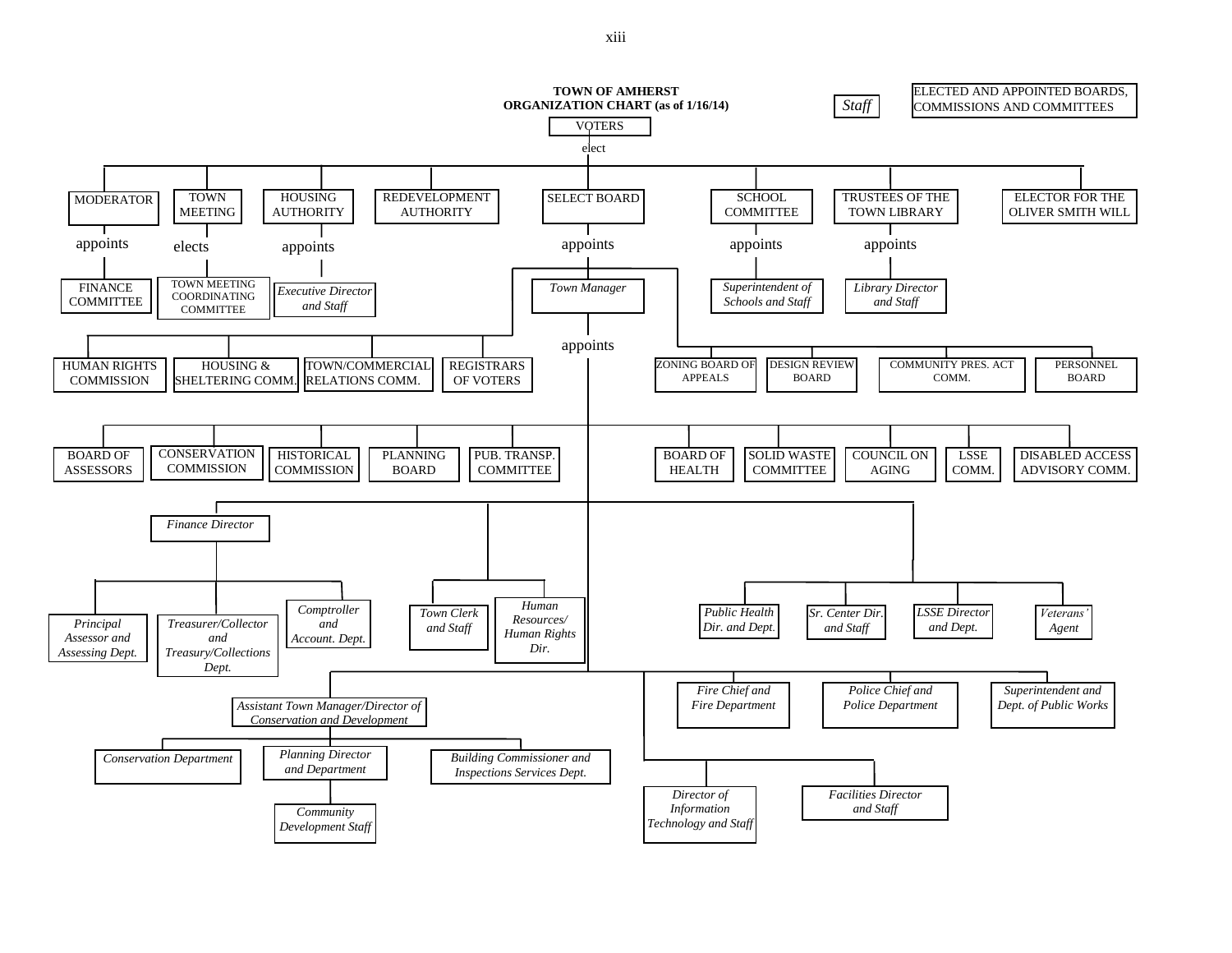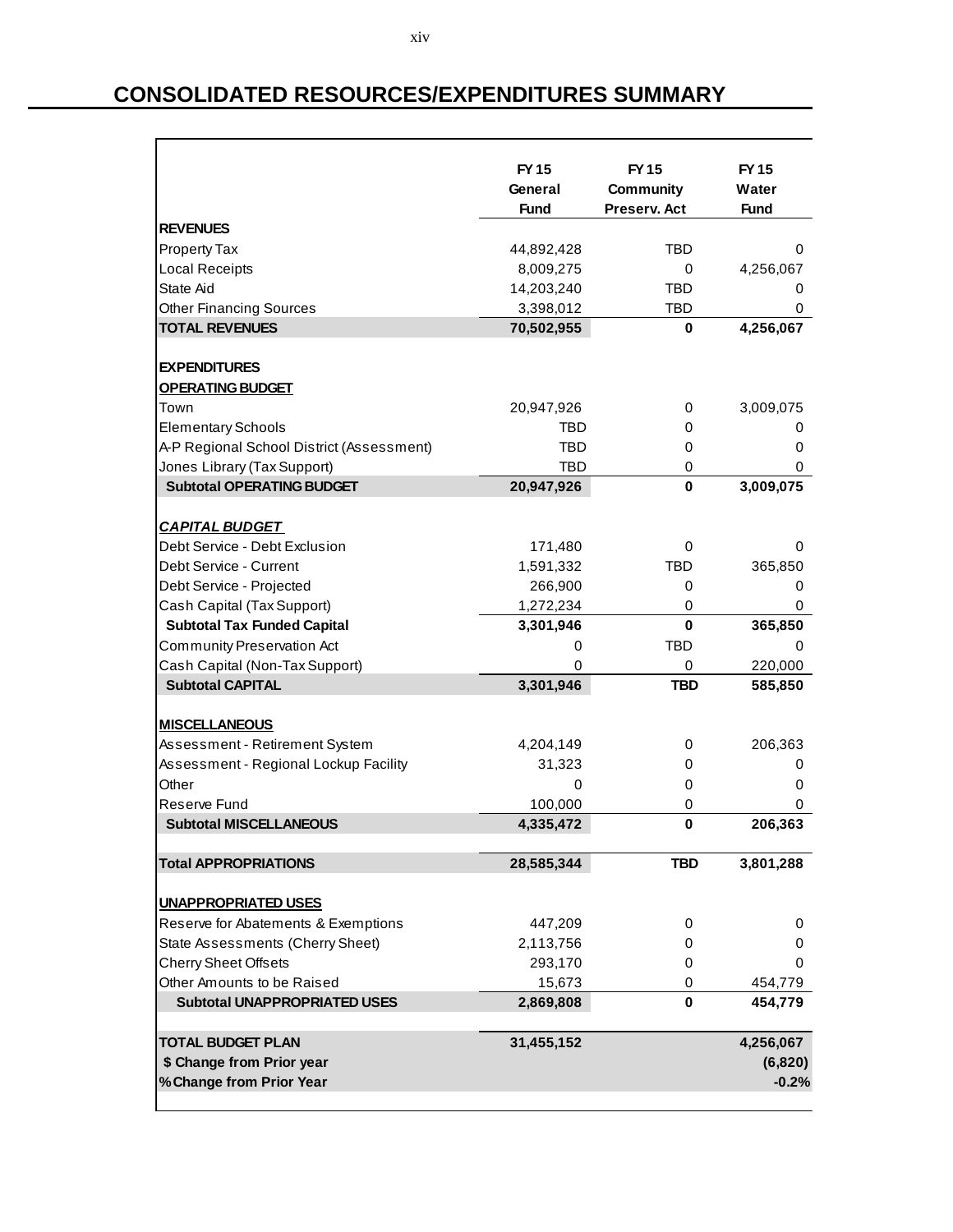## **CONSOLIDATED RESOURCES/EXPENDITURES SUMMARY**

|                                           | FY 15       | <b>FY15</b>      | <b>FY15</b> |
|-------------------------------------------|-------------|------------------|-------------|
|                                           | General     | <b>Community</b> | Water       |
|                                           | <b>Fund</b> | Preserv. Act     | <b>Fund</b> |
| <b>REVENUES</b>                           |             |                  |             |
| Property Tax                              | 44,892,428  | TBD              | 0           |
| <b>Local Receipts</b>                     | 8,009,275   | 0                | 4,256,067   |
| State Aid                                 | 14,203,240  | TBD              | 0           |
| <b>Other Financing Sources</b>            | 3,398,012   | TBD              | 0           |
| <b>TOTAL REVENUES</b>                     | 70,502,955  | $\bf{0}$         | 4,256,067   |
|                                           |             |                  |             |
| <b>EXPENDITURES</b>                       |             |                  |             |
| <b>OPERATING BUDGET</b>                   |             |                  |             |
| Town                                      | 20,947,926  | 0                | 3,009,075   |
| <b>Elementary Schools</b>                 | <b>TBD</b>  | 0                | 0           |
| A-P Regional School District (Assessment) | TBD         | 0                | 0           |
| Jones Library (Tax Support)               | TBD         | 0                | 0           |
| <b>Subtotal OPERATING BUDGET</b>          | 20,947,926  | $\bf{0}$         | 3,009,075   |
|                                           |             |                  |             |
| <b>CAPITAL BUDGET</b>                     |             |                  |             |
| Debt Service - Debt Exclusion             | 171,480     | 0                | 0           |
| Debt Service - Current                    | 1,591,332   | TBD              | 365,850     |
| Debt Service - Projected                  | 266,900     | 0                | 0           |
| Cash Capital (Tax Support)                | 1,272,234   | 0                | 0           |
| <b>Subtotal Tax Funded Capital</b>        | 3,301,946   | $\bf{0}$         | 365,850     |
| <b>Community Preservation Act</b>         | 0           | <b>TBD</b>       | 0           |
| Cash Capital (Non-Tax Support)            | 0           | 0                | 220,000     |
| <b>Subtotal CAPITAL</b>                   | 3,301,946   | <b>TBD</b>       | 585,850     |
|                                           |             |                  |             |
| <b>MISCELLANEOUS</b>                      |             |                  |             |
| Assessment - Retirement System            | 4,204,149   | 0                | 206,363     |
| Assessment - Regional Lockup Facility     | 31,323      | 0                | 0           |
| Other                                     | 0           | 0                | 0           |
| Reserve Fund                              | 100,000     | 0                | 0           |
| <b>Subtotal MISCELLANEOUS</b>             | 4,335,472   | $\bf{0}$         | 206,363     |
|                                           |             |                  |             |
| <b>Total APPROPRIATIONS</b>               | 28,585,344  | TBD.             | 3,801,288   |
|                                           |             |                  |             |
| <b>UNAPPROPRIATED USES</b>                |             |                  |             |
| Reserve for Abatements & Exemptions       | 447,209     | 0                | 0           |
| <b>State Assessments (Cherry Sheet)</b>   | 2,113,756   | 0                | 0           |
| <b>Cherry Sheet Offsets</b>               | 293,170     | 0                | 0           |
| Other Amounts to be Raised                | 15,673      | 0                | 454,779     |
| <b>Subtotal UNAPPROPRIATED USES</b>       | 2,869,808   | 0                | 454,779     |
|                                           |             |                  |             |
| <b>TOTAL BUDGET PLAN</b>                  | 31,455,152  |                  | 4,256,067   |
| \$ Change from Prior year                 |             |                  | (6, 820)    |
| % Change from Prior Year                  |             |                  | $-0.2%$     |
|                                           |             |                  |             |

 $\mathbf{I}$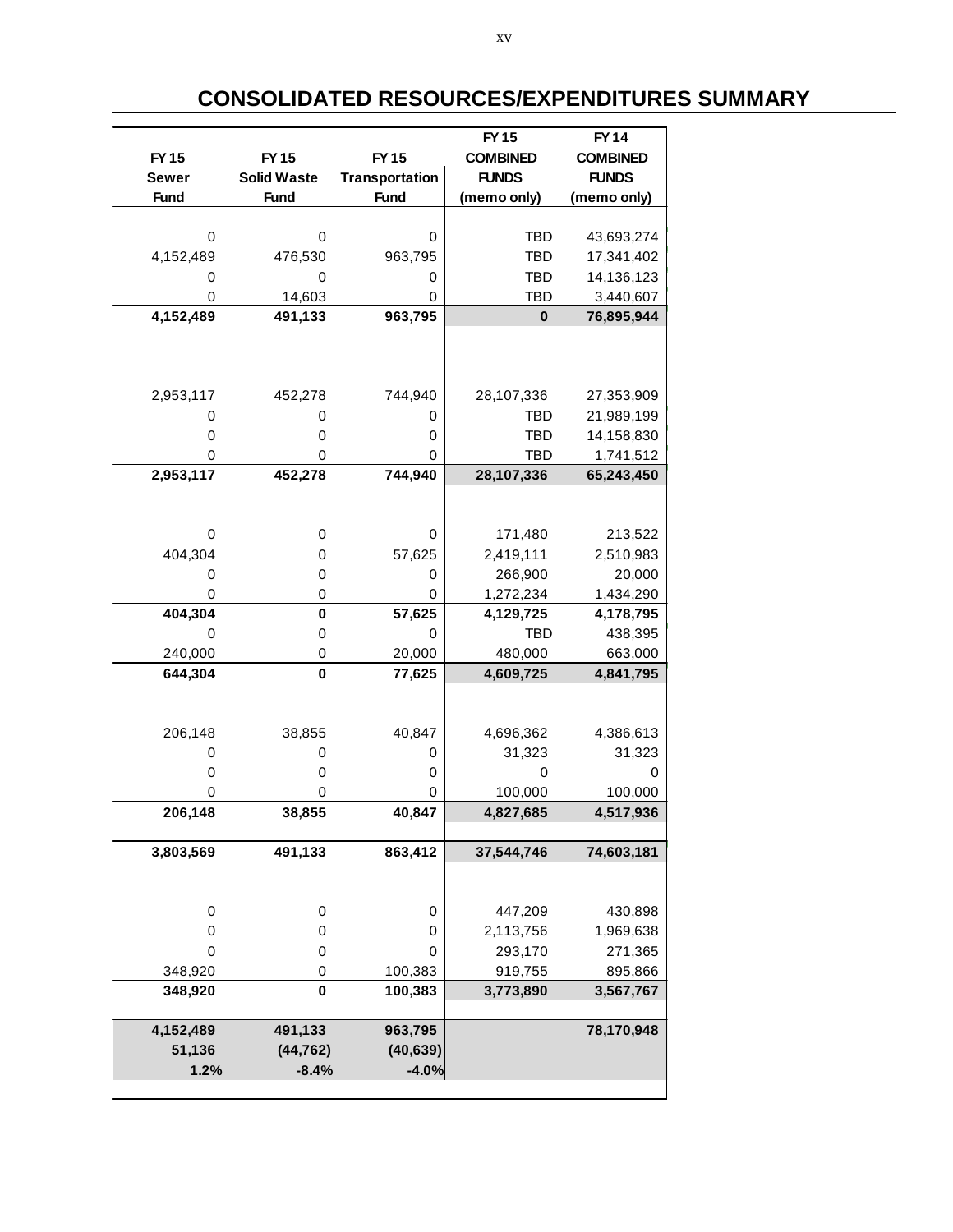| <b>FY15</b><br><b>Sewer</b><br><b>Fund</b> | <b>FY15</b><br><b>Solid Waste</b><br><b>Fund</b> | <b>FY15</b><br><b>Transportation</b><br><b>Fund</b> | <b>FY15</b><br><b>COMBINED</b><br><b>FUNDS</b><br>(memo only) | <b>FY14</b><br><b>COMBINED</b><br><b>FUNDS</b><br>(memo only) |
|--------------------------------------------|--------------------------------------------------|-----------------------------------------------------|---------------------------------------------------------------|---------------------------------------------------------------|
|                                            |                                                  |                                                     |                                                               |                                                               |
| $\mathbf 0$                                | $\mathbf 0$                                      | 0                                                   | <b>TBD</b>                                                    | 43,693,274                                                    |
| 4,152,489                                  | 476,530                                          | 963,795                                             | <b>TBD</b>                                                    | 17,341,402                                                    |
| 0                                          | 0                                                | 0                                                   | <b>TBD</b>                                                    | 14,136,123                                                    |
| $\mathbf 0$                                | 14,603                                           | 0                                                   | <b>TBD</b>                                                    | 3,440,607                                                     |
| 4,152,489                                  | 491,133                                          | 963,795                                             | $\mathbf 0$                                                   | 76,895,944                                                    |
|                                            |                                                  |                                                     |                                                               |                                                               |
| 2,953,117                                  | 452,278                                          | 744,940                                             | 28,107,336                                                    | 27,353,909                                                    |
| 0                                          | 0                                                | 0                                                   | TBD                                                           | 21,989,199                                                    |
| $\pmb{0}$                                  | 0                                                | 0                                                   | <b>TBD</b>                                                    | 14,158,830                                                    |
| 0                                          | 0                                                | 0                                                   | <b>TBD</b>                                                    | 1,741,512                                                     |
| 2,953,117                                  | 452,278                                          | 744,940                                             | 28,107,336                                                    | 65,243,450                                                    |
|                                            |                                                  |                                                     |                                                               |                                                               |
| $\boldsymbol{0}$                           | 0                                                | 0                                                   | 171,480                                                       | 213,522                                                       |
| 404,304                                    | 0                                                | 57,625                                              | 2,419,111                                                     | 2,510,983                                                     |
| 0                                          | 0                                                | 0                                                   | 266,900                                                       | 20,000                                                        |
| 0                                          | 0                                                | 0                                                   | 1,272,234                                                     | 1,434,290                                                     |
| 404,304                                    | 0                                                | 57,625                                              | 4,129,725                                                     | 4,178,795                                                     |
| 0                                          | 0                                                | $\mathbf 0$                                         | <b>TBD</b>                                                    | 438,395                                                       |
| 240,000                                    | 0                                                | 20,000                                              | 480,000                                                       | 663,000                                                       |
| 644,304                                    | $\bf{0}$                                         | 77,625                                              | 4,609,725                                                     | 4,841,795                                                     |
|                                            |                                                  |                                                     |                                                               |                                                               |
| 206,148                                    | 38,855                                           | 40,847                                              | 4,696,362                                                     | 4,386,613                                                     |
| 0                                          | 0                                                | 0                                                   | 31,323                                                        | 31,323                                                        |
| $\mathbf 0$                                | 0                                                | 0                                                   | $\mathbf 0$                                                   | 0                                                             |
| 0                                          | 0                                                | 0                                                   | 100,000                                                       | 100,000                                                       |
| 206,148                                    | 38,855                                           | 40,847                                              | 4,827,685                                                     | 4,517,936                                                     |
| 3,803,569                                  | 491,133                                          | 863,412                                             | 37,544,746                                                    | 74,603,181                                                    |
|                                            |                                                  |                                                     |                                                               |                                                               |
| $\pmb{0}$                                  | 0                                                | $\mathbf 0$                                         | 447,209                                                       | 430,898                                                       |
| $\pmb{0}$                                  | $\mathbf 0$                                      | 0                                                   | 2,113,756                                                     | 1,969,638                                                     |
| $\mathbf 0$                                | $\mathbf 0$                                      | $\mathbf 0$                                         | 293,170                                                       | 271,365                                                       |
| 348,920                                    | 0                                                | 100,383                                             | 919,755                                                       | 895,866                                                       |
| 348,920                                    | $\bf{0}$                                         | 100,383                                             | 3,773,890                                                     | 3,567,767                                                     |
| 4,152,489                                  | 491,133                                          | 963,795                                             |                                                               | 78,170,948                                                    |
| 51,136                                     | (44, 762)                                        | (40, 639)                                           |                                                               |                                                               |
| 1.2%                                       | $-8.4%$                                          | $-4.0%$                                             |                                                               |                                                               |

## **CONSOLIDATED RESOURCES/EXPENDITURES SUMMARY**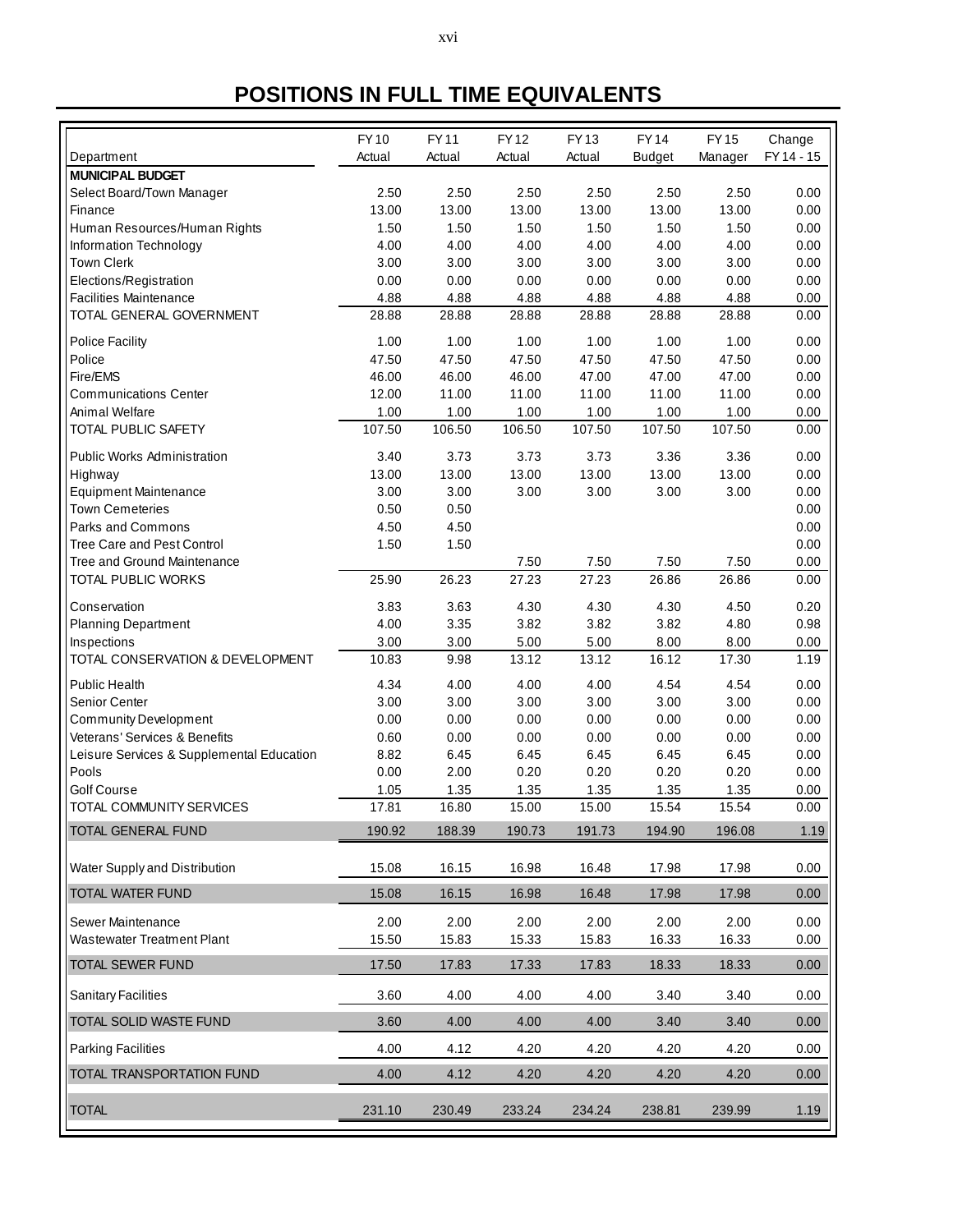## **POSITIONS IN FULL TIME EQUIVALENTS**

|                                                           | <b>FY10</b>    | <b>FY11</b>    | <b>FY12</b>    | FY13           | <b>FY14</b>    | <b>FY15</b>    | Change       |
|-----------------------------------------------------------|----------------|----------------|----------------|----------------|----------------|----------------|--------------|
| Department                                                | Actual         | Actual         | Actual         | Actual         | <b>Budget</b>  | Manager        | FY 14 - 15   |
| <b>MUNICIPAL BUDGET</b>                                   |                |                |                |                |                |                |              |
| Select Board/Town Manager                                 | 2.50           | 2.50           | 2.50           | 2.50           | 2.50           | 2.50           | 0.00         |
| Finance                                                   | 13.00          | 13.00          | 13.00          | 13.00          | 13.00          | 13.00          | 0.00         |
| Human Resources/Human Rights                              | 1.50           | 1.50           | 1.50           | 1.50           | 1.50           | 1.50           | 0.00         |
| Information Technology                                    | 4.00           | 4.00           | 4.00           | 4.00           | 4.00           | 4.00           | 0.00         |
| <b>Town Clerk</b>                                         | 3.00           | 3.00           | 3.00           | 3.00           | 3.00           | 3.00           | 0.00         |
| Elections/Registration                                    | 0.00           | 0.00           | 0.00           | 0.00           | 0.00           | 0.00           | 0.00         |
| <b>Facilities Maintenance</b><br>TOTAL GENERAL GOVERNMENT | 4.88<br>28.88  | 4.88<br>28.88  | 4.88<br>28.88  | 4.88<br>28.88  | 4.88<br>28.88  | 4.88<br>28.88  | 0.00<br>0.00 |
|                                                           |                |                |                |                |                |                |              |
| <b>Police Facility</b>                                    | 1.00           | 1.00           | 1.00           | 1.00           | 1.00           | 1.00           | 0.00         |
| Police                                                    | 47.50          | 47.50          | 47.50          | 47.50          | 47.50          | 47.50          | 0.00         |
| Fire/EMS                                                  | 46.00          | 46.00          | 46.00          | 47.00          | 47.00          | 47.00          | 0.00         |
| <b>Communications Center</b>                              | 12.00          | 11.00          | 11.00          | 11.00          | 11.00          | 11.00          | 0.00         |
| Animal Welfare<br>TOTAL PUBLIC SAFETY                     | 1.00<br>107.50 | 1.00<br>106.50 | 1.00<br>106.50 | 1.00<br>107.50 | 1.00<br>107.50 | 1.00<br>107.50 | 0.00<br>0.00 |
|                                                           |                |                |                |                |                |                |              |
| Public Works Administration                               | 3.40           | 3.73           | 3.73           | 3.73           | 3.36           | 3.36           | 0.00         |
| Highway                                                   | 13.00          | 13.00          | 13.00          | 13.00          | 13.00          | 13.00          | 0.00         |
| <b>Equipment Maintenance</b>                              | 3.00           | 3.00           | 3.00           | 3.00           | 3.00           | 3.00           | $0.00\,$     |
| <b>Town Cemeteries</b>                                    | 0.50           | 0.50           |                |                |                |                | 0.00         |
| Parks and Commons<br>Tree Care and Pest Control           | 4.50<br>1.50   | 4.50<br>1.50   |                |                |                |                | 0.00<br>0.00 |
| <b>Tree and Ground Maintenance</b>                        |                |                | 7.50           | 7.50           | 7.50           | 7.50           | 0.00         |
| TOTAL PUBLIC WORKS                                        | 25.90          | 26.23          | 27.23          | 27.23          | 26.86          | 26.86          | 0.00         |
|                                                           |                |                |                |                |                |                |              |
| Conservation                                              | 3.83           | 3.63           | 4.30           | 4.30           | 4.30           | 4.50           | 0.20         |
| <b>Planning Department</b><br>Inspections                 | 4.00<br>3.00   | 3.35<br>3.00   | 3.82<br>5.00   | 3.82<br>5.00   | 3.82<br>8.00   | 4.80<br>8.00   | 0.98<br>0.00 |
| TOTAL CONSERVATION & DEVELOPMENT                          | 10.83          | 9.98           | 13.12          | 13.12          | 16.12          | 17.30          | 1.19         |
|                                                           |                |                |                |                |                |                |              |
| <b>Public Health</b><br>Senior Center                     | 4.34<br>3.00   | 4.00<br>3.00   | 4.00<br>3.00   | 4.00<br>3.00   | 4.54<br>3.00   | 4.54<br>3.00   | 0.00<br>0.00 |
| <b>Community Development</b>                              | 0.00           | 0.00           | 0.00           | 0.00           | 0.00           | 0.00           | 0.00         |
| Veterans' Services & Benefits                             | 0.60           | 0.00           | 0.00           | 0.00           | 0.00           | 0.00           | 0.00         |
| Leisure Services & Supplemental Education                 | 8.82           | 6.45           | 6.45           | 6.45           | 6.45           | 6.45           | 0.00         |
| Pools                                                     | 0.00           | 2.00           | 0.20           | 0.20           | 0.20           | 0.20           | 0.00         |
| Golf Course                                               | 1.05           | 1.35           | 1.35           | 1.35           | 1.35           | 1.35           | 0.00         |
| TOTAL COMMUNITY SERVICES                                  | 17.81          | 16.80          | 15.00          | 15.00          | 15.54          | 15.54          | 0.00         |
| TOTAL GENERAL FUND                                        | 190.92         | 188.39         | 190.73         | 191.73         | 194.90         | 196.08         | 1.19         |
|                                                           |                |                |                |                |                |                |              |
| Water Supply and Distribution                             | 15.08          | 16.15          | 16.98          | 16.48          | 17.98          | 17.98          | 0.00         |
| TOTAL WATER FUND                                          | 15.08          | 16.15          | 16.98          | 16.48          | 17.98          | 17.98          | 0.00         |
| Sewer Maintenance                                         | 2.00           | 2.00           | 2.00           | 2.00           | 2.00           | 2.00           | 0.00         |
| Wastewater Treatment Plant                                | 15.50          | 15.83          | 15.33          | 15.83          | 16.33          | 16.33          | 0.00         |
| TOTAL SEWER FUND                                          | 17.50          | 17.83          | 17.33          | 17.83          | 18.33          | 18.33          | 0.00         |
| <b>Sanitary Facilities</b>                                | 3.60           | 4.00           | 4.00           | 4.00           | 3.40           | 3.40           | 0.00         |
|                                                           |                |                |                |                |                |                |              |
| TOTAL SOLID WASTE FUND                                    | 3.60           | 4.00           | 4.00           | 4.00           | 3.40           | 3.40           | 0.00         |
| <b>Parking Facilities</b>                                 | 4.00           | 4.12           | 4.20           | 4.20           | 4.20           | 4.20           | 0.00         |
| TOTAL TRANSPORTATION FUND                                 | 4.00           | 4.12           | 4.20           | 4.20           | 4.20           | 4.20           | 0.00         |
| <b>TOTAL</b>                                              | 231.10         | 230.49         | 233.24         | 234.24         | 238.81         | 239.99         | 1.19         |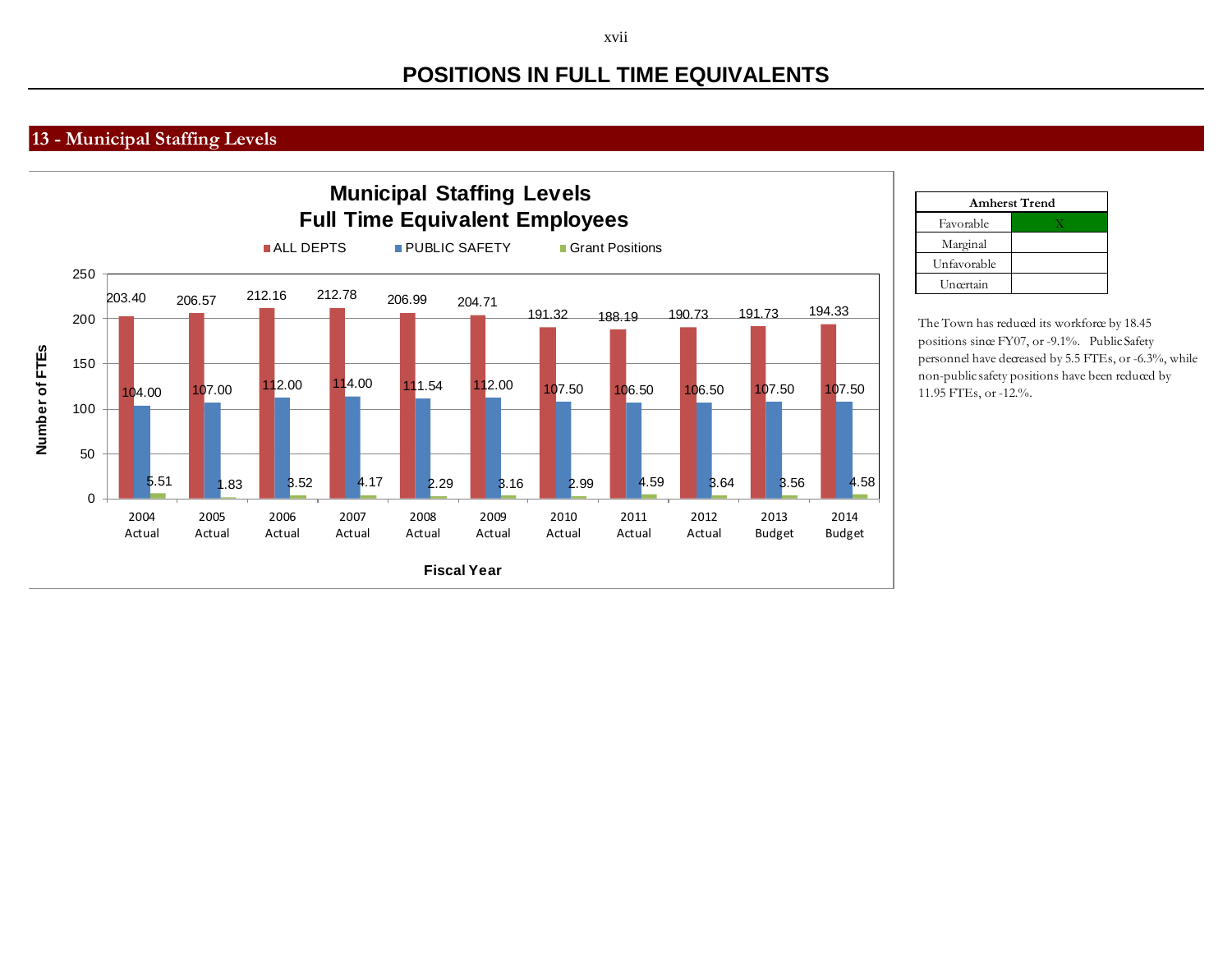## **POSITIONS IN FULL TIME EQUIVALENTS**

## **13 - Municipal Staffing Levels**



| <b>Amherst Trend</b> |  |  |  |  |  |  |  |  |  |  |
|----------------------|--|--|--|--|--|--|--|--|--|--|
| Favorable            |  |  |  |  |  |  |  |  |  |  |
| Marginal             |  |  |  |  |  |  |  |  |  |  |
| Unfavorable          |  |  |  |  |  |  |  |  |  |  |
| Uncertain            |  |  |  |  |  |  |  |  |  |  |

The Town has reduced its workforce by 18.45 positions since FY07, or -9.1%. Public Safety personnel have decreased by 5.5 FTEs, or -6.3%, while non-public safety positions have been reduced by 11.95 FTEs, or -12.%.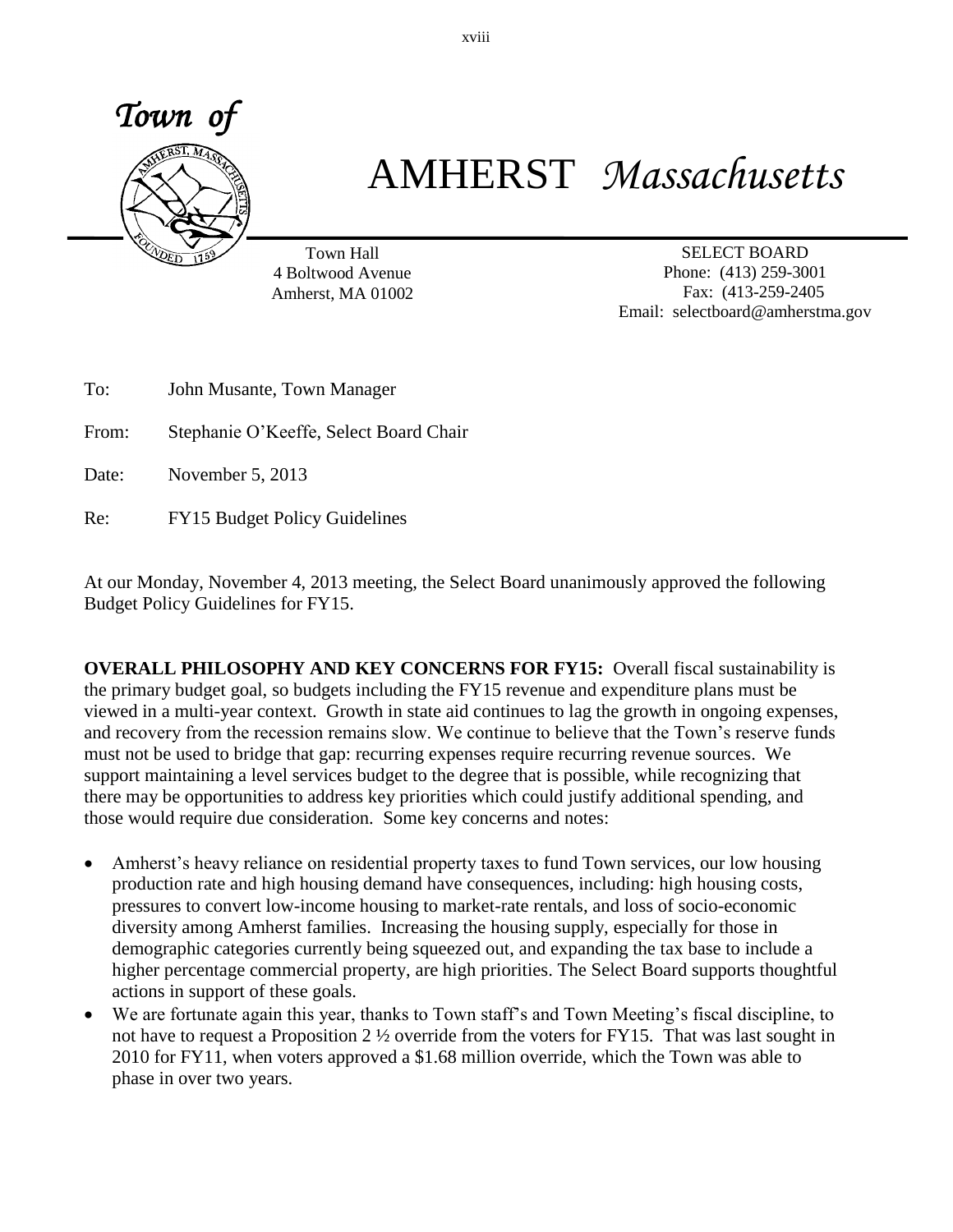

## AMHERST *Massachusetts*

Town Hall 4 Boltwood Avenue Amherst, MA 01002

SELECT BOARD Phone: (413) 259-3001 Fax: (413-259-2405 Email: selectboard@amherstma.gov

To: John Musante, Town Manager

- From: Stephanie O'Keeffe, Select Board Chair
- Date: November 5, 2013
- Re: FY15 Budget Policy Guidelines

At our Monday, November 4, 2013 meeting, the Select Board unanimously approved the following Budget Policy Guidelines for FY15.

**OVERALL PHILOSOPHY AND KEY CONCERNS FOR FY15:** Overall fiscal sustainability is the primary budget goal, so budgets including the FY15 revenue and expenditure plans must be viewed in a multi-year context. Growth in state aid continues to lag the growth in ongoing expenses, and recovery from the recession remains slow. We continue to believe that the Town's reserve funds must not be used to bridge that gap: recurring expenses require recurring revenue sources. We support maintaining a level services budget to the degree that is possible, while recognizing that there may be opportunities to address key priorities which could justify additional spending, and those would require due consideration. Some key concerns and notes:

- Amherst's heavy reliance on residential property taxes to fund Town services, our low housing production rate and high housing demand have consequences, including: high housing costs, pressures to convert low-income housing to market-rate rentals, and loss of socio-economic diversity among Amherst families. Increasing the housing supply, especially for those in demographic categories currently being squeezed out, and expanding the tax base to include a higher percentage commercial property, are high priorities. The Select Board supports thoughtful actions in support of these goals.
- We are fortunate again this year, thanks to Town staff's and Town Meeting's fiscal discipline, to not have to request a Proposition 2  $\frac{1}{2}$  override from the voters for FY15. That was last sought in 2010 for FY11, when voters approved a \$1.68 million override, which the Town was able to phase in over two years.

xviii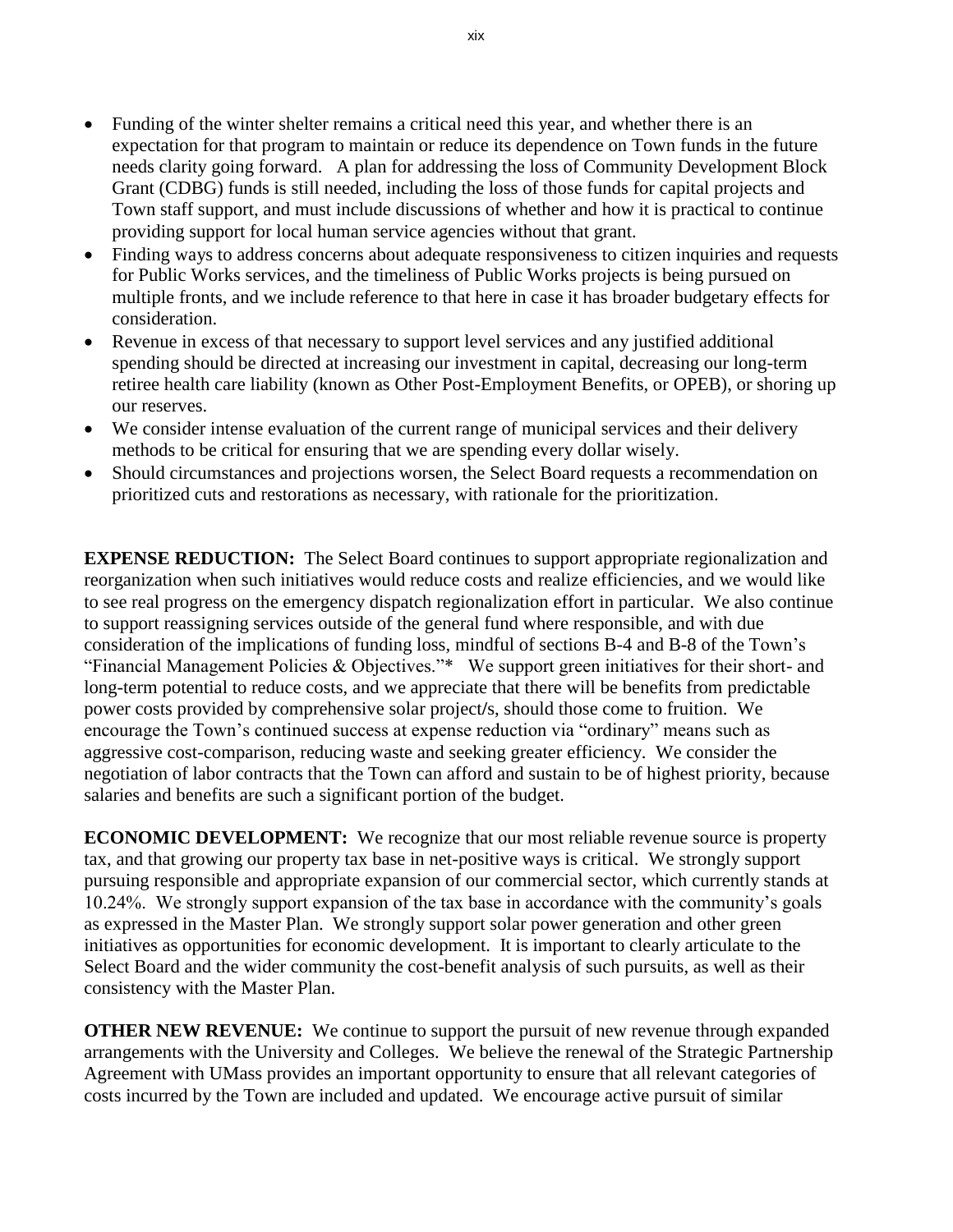- Funding of the winter shelter remains a critical need this year, and whether there is an expectation for that program to maintain or reduce its dependence on Town funds in the future needs clarity going forward. A plan for addressing the loss of Community Development Block Grant (CDBG) funds is still needed, including the loss of those funds for capital projects and Town staff support, and must include discussions of whether and how it is practical to continue providing support for local human service agencies without that grant.
- Finding ways to address concerns about adequate responsiveness to citizen inquiries and requests for Public Works services, and the timeliness of Public Works projects is being pursued on multiple fronts, and we include reference to that here in case it has broader budgetary effects for consideration.
- Revenue in excess of that necessary to support level services and any justified additional spending should be directed at increasing our investment in capital, decreasing our long-term retiree health care liability (known as Other Post-Employment Benefits, or OPEB), or shoring up our reserves.
- We consider intense evaluation of the current range of municipal services and their delivery methods to be critical for ensuring that we are spending every dollar wisely.
- Should circumstances and projections worsen, the Select Board requests a recommendation on prioritized cuts and restorations as necessary, with rationale for the prioritization.

**EXPENSE REDUCTION:** The Select Board continues to support appropriate regionalization and reorganization when such initiatives would reduce costs and realize efficiencies, and we would like to see real progress on the emergency dispatch regionalization effort in particular. We also continue to support reassigning services outside of the general fund where responsible, and with due consideration of the implications of funding loss, mindful of sections B-4 and B-8 of the Town's "Financial Management Policies & Objectives."\* We support green initiatives for their short- and long-term potential to reduce costs, and we appreciate that there will be benefits from predictable power costs provided by comprehensive solar project**/**s, should those come to fruition. We encourage the Town's continued success at expense reduction via "ordinary" means such as aggressive cost-comparison, reducing waste and seeking greater efficiency. We consider the negotiation of labor contracts that the Town can afford and sustain to be of highest priority, because salaries and benefits are such a significant portion of the budget.

**ECONOMIC DEVELOPMENT:** We recognize that our most reliable revenue source is property tax, and that growing our property tax base in net-positive ways is critical. We strongly support pursuing responsible and appropriate expansion of our commercial sector, which currently stands at 10.24%. We strongly support expansion of the tax base in accordance with the community's goals as expressed in the Master Plan. We strongly support solar power generation and other green initiatives as opportunities for economic development. It is important to clearly articulate to the Select Board and the wider community the cost-benefit analysis of such pursuits, as well as their consistency with the Master Plan.

**OTHER NEW REVENUE:** We continue to support the pursuit of new revenue through expanded arrangements with the University and Colleges. We believe the renewal of the Strategic Partnership Agreement with UMass provides an important opportunity to ensure that all relevant categories of costs incurred by the Town are included and updated. We encourage active pursuit of similar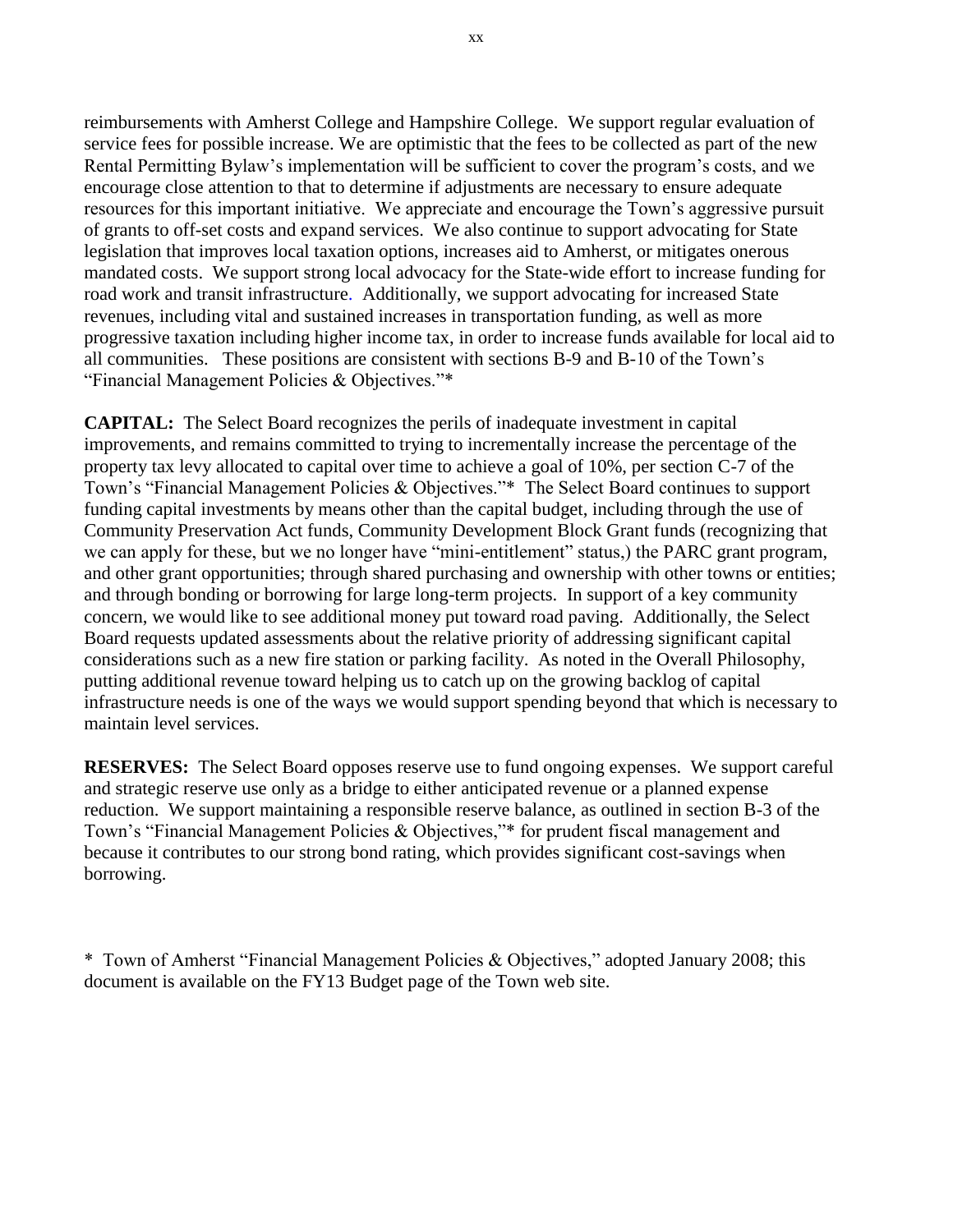reimbursements with Amherst College and Hampshire College. We support regular evaluation of service fees for possible increase. We are optimistic that the fees to be collected as part of the new Rental Permitting Bylaw's implementation will be sufficient to cover the program's costs, and we encourage close attention to that to determine if adjustments are necessary to ensure adequate resources for this important initiative. We appreciate and encourage the Town's aggressive pursuit of grants to off-set costs and expand services. We also continue to support advocating for State legislation that improves local taxation options, increases aid to Amherst, or mitigates onerous mandated costs. We support strong local advocacy for the State-wide effort to increase funding for road work and transit infrastructure. Additionally, we support advocating for increased State revenues, including vital and sustained increases in transportation funding, as well as more progressive taxation including higher income tax, in order to increase funds available for local aid to all communities. These positions are consistent with sections B-9 and B-10 of the Town's "Financial Management Policies & Objectives."\*

**CAPITAL:** The Select Board recognizes the perils of inadequate investment in capital improvements, and remains committed to trying to incrementally increase the percentage of the property tax levy allocated to capital over time to achieve a goal of 10%, per section C-7 of the Town's "Financial Management Policies & Objectives."\* The Select Board continues to support funding capital investments by means other than the capital budget, including through the use of Community Preservation Act funds, Community Development Block Grant funds (recognizing that we can apply for these, but we no longer have "mini-entitlement" status,) the PARC grant program, and other grant opportunities; through shared purchasing and ownership with other towns or entities; and through bonding or borrowing for large long-term projects. In support of a key community concern, we would like to see additional money put toward road paving. Additionally, the Select Board requests updated assessments about the relative priority of addressing significant capital considerations such as a new fire station or parking facility. As noted in the Overall Philosophy, putting additional revenue toward helping us to catch up on the growing backlog of capital infrastructure needs is one of the ways we would support spending beyond that which is necessary to maintain level services.

**RESERVES:** The Select Board opposes reserve use to fund ongoing expenses. We support careful and strategic reserve use only as a bridge to either anticipated revenue or a planned expense reduction. We support maintaining a responsible reserve balance, as outlined in section B-3 of the Town's "Financial Management Policies & Objectives,"\* for prudent fiscal management and because it contributes to our strong bond rating, which provides significant cost-savings when borrowing.

\* Town of Amherst "Financial Management Policies & Objectives," adopted January 2008; this document is available on the FY13 Budget page of the Town web site.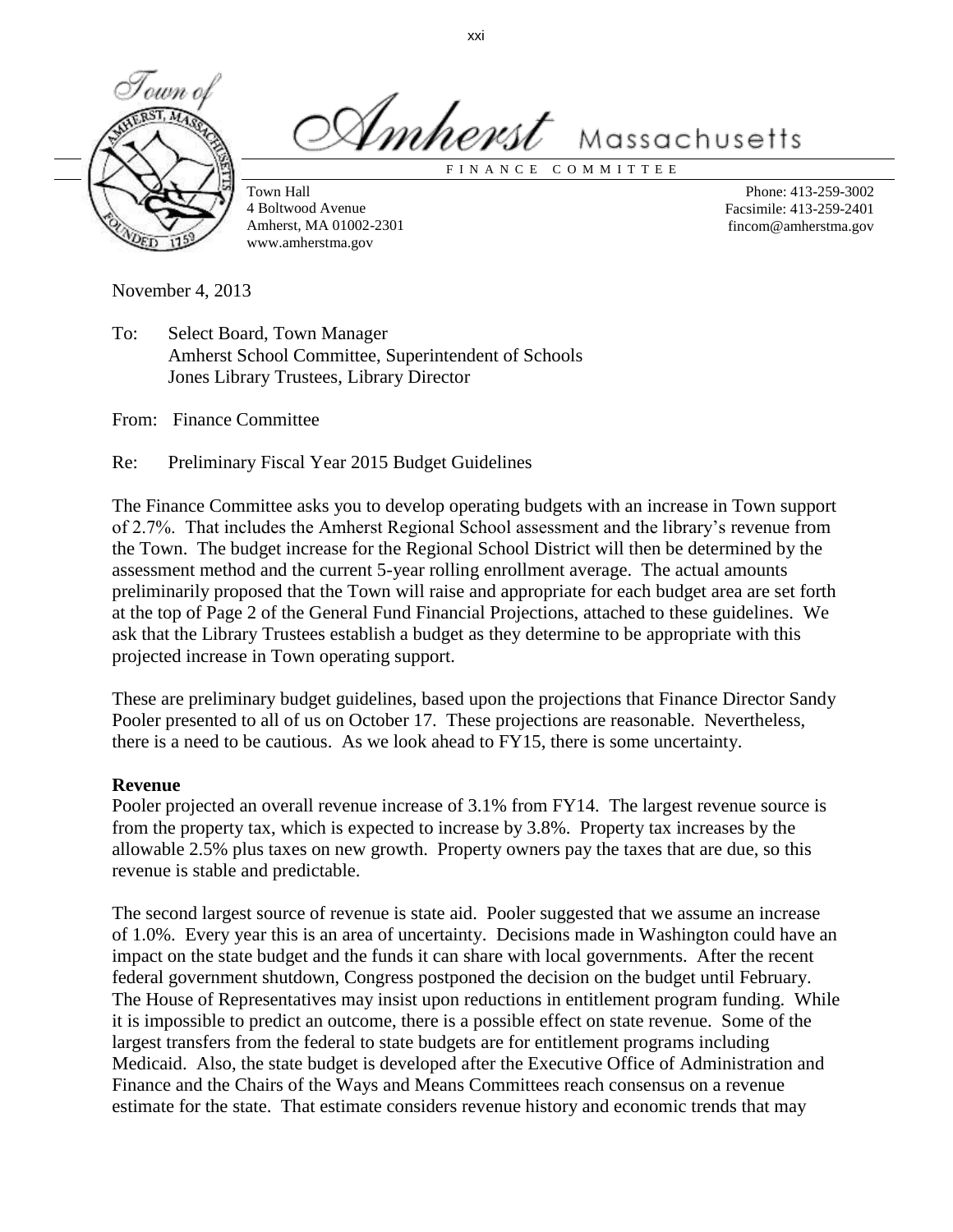

mhevsi Massachusetts

F I N A N C E C O M M I T T E E

Town Hall 4 Boltwood Avenue Amherst, MA 01002-2301 www.amherstma.gov

Phone: 413-259-3002 Facsimile: 413-259-2401 fincom@amherstma.gov

November 4, 2013

To: Select Board, Town Manager Amherst School Committee, Superintendent of Schools Jones Library Trustees, Library Director

From: Finance Committee

Re: Preliminary Fiscal Year 2015 Budget Guidelines

The Finance Committee asks you to develop operating budgets with an increase in Town support of 2.7%. That includes the Amherst Regional School assessment and the library's revenue from the Town. The budget increase for the Regional School District will then be determined by the assessment method and the current 5-year rolling enrollment average. The actual amounts preliminarily proposed that the Town will raise and appropriate for each budget area are set forth at the top of Page 2 of the General Fund Financial Projections, attached to these guidelines. We ask that the Library Trustees establish a budget as they determine to be appropriate with this projected increase in Town operating support.

These are preliminary budget guidelines, based upon the projections that Finance Director Sandy Pooler presented to all of us on October 17. These projections are reasonable. Nevertheless, there is a need to be cautious. As we look ahead to FY15, there is some uncertainty.

### **Revenue**

Pooler projected an overall revenue increase of 3.1% from FY14. The largest revenue source is from the property tax, which is expected to increase by 3.8%. Property tax increases by the allowable 2.5% plus taxes on new growth. Property owners pay the taxes that are due, so this revenue is stable and predictable.

The second largest source of revenue is state aid. Pooler suggested that we assume an increase of 1.0%. Every year this is an area of uncertainty. Decisions made in Washington could have an impact on the state budget and the funds it can share with local governments. After the recent federal government shutdown, Congress postponed the decision on the budget until February. The House of Representatives may insist upon reductions in entitlement program funding. While it is impossible to predict an outcome, there is a possible effect on state revenue. Some of the largest transfers from the federal to state budgets are for entitlement programs including Medicaid. Also, the state budget is developed after the Executive Office of Administration and Finance and the Chairs of the Ways and Means Committees reach consensus on a revenue estimate for the state. That estimate considers revenue history and economic trends that may

xxi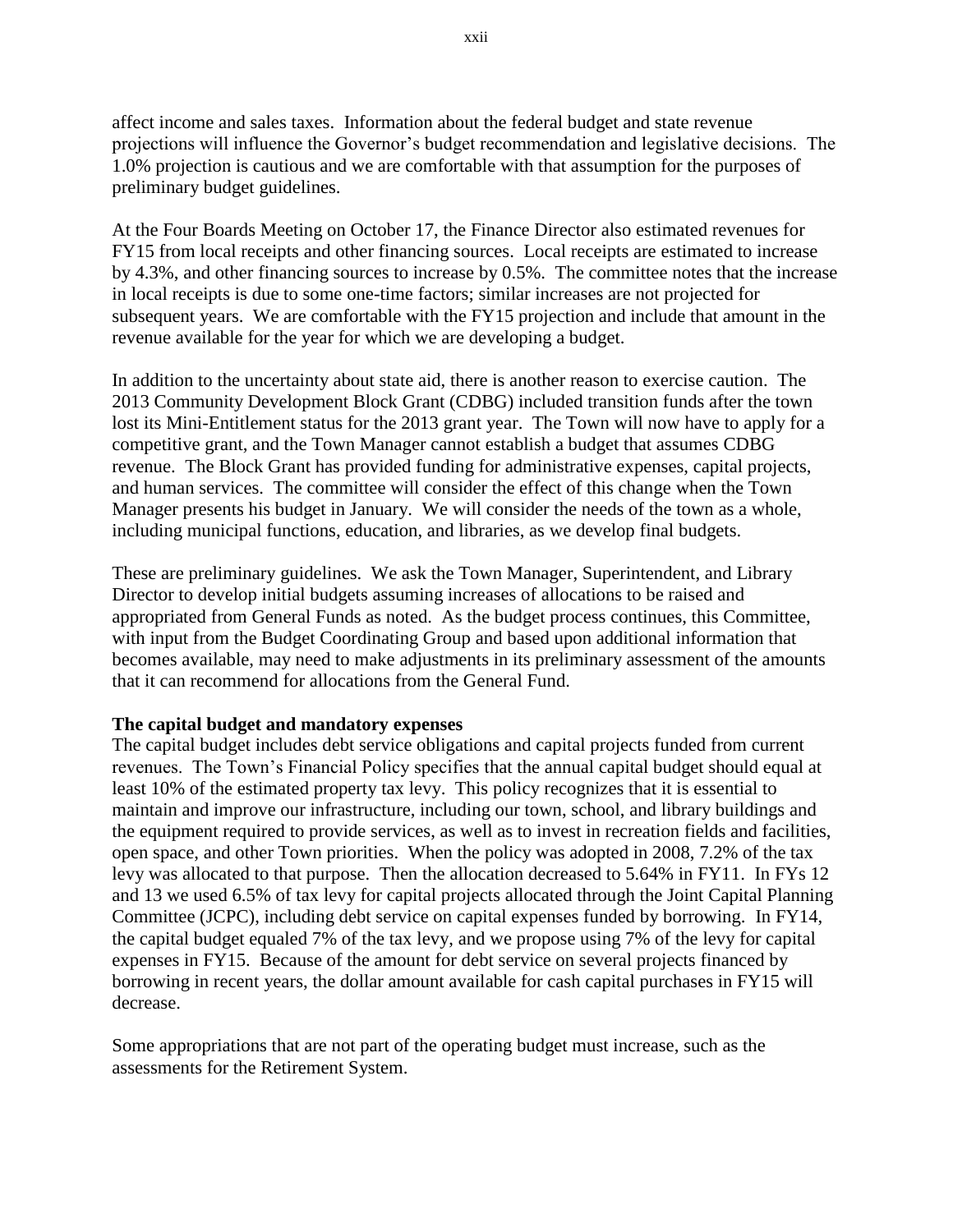affect income and sales taxes. Information about the federal budget and state revenue projections will influence the Governor's budget recommendation and legislative decisions. The 1.0% projection is cautious and we are comfortable with that assumption for the purposes of preliminary budget guidelines.

At the Four Boards Meeting on October 17, the Finance Director also estimated revenues for FY15 from local receipts and other financing sources. Local receipts are estimated to increase by 4.3%, and other financing sources to increase by 0.5%. The committee notes that the increase in local receipts is due to some one-time factors; similar increases are not projected for subsequent years. We are comfortable with the FY15 projection and include that amount in the revenue available for the year for which we are developing a budget.

In addition to the uncertainty about state aid, there is another reason to exercise caution. The 2013 Community Development Block Grant (CDBG) included transition funds after the town lost its Mini-Entitlement status for the 2013 grant year. The Town will now have to apply for a competitive grant, and the Town Manager cannot establish a budget that assumes CDBG revenue. The Block Grant has provided funding for administrative expenses, capital projects, and human services. The committee will consider the effect of this change when the Town Manager presents his budget in January. We will consider the needs of the town as a whole, including municipal functions, education, and libraries, as we develop final budgets.

These are preliminary guidelines. We ask the Town Manager, Superintendent, and Library Director to develop initial budgets assuming increases of allocations to be raised and appropriated from General Funds as noted. As the budget process continues, this Committee, with input from the Budget Coordinating Group and based upon additional information that becomes available, may need to make adjustments in its preliminary assessment of the amounts that it can recommend for allocations from the General Fund.

### **The capital budget and mandatory expenses**

The capital budget includes debt service obligations and capital projects funded from current revenues. The Town's Financial Policy specifies that the annual capital budget should equal at least 10% of the estimated property tax levy. This policy recognizes that it is essential to maintain and improve our infrastructure, including our town, school, and library buildings and the equipment required to provide services, as well as to invest in recreation fields and facilities, open space, and other Town priorities. When the policy was adopted in 2008, 7.2% of the tax levy was allocated to that purpose. Then the allocation decreased to 5.64% in FY11. In FYs 12 and 13 we used 6.5% of tax levy for capital projects allocated through the Joint Capital Planning Committee (JCPC), including debt service on capital expenses funded by borrowing. In FY14, the capital budget equaled 7% of the tax levy, and we propose using 7% of the levy for capital expenses in FY15. Because of the amount for debt service on several projects financed by borrowing in recent years, the dollar amount available for cash capital purchases in FY15 will decrease.

Some appropriations that are not part of the operating budget must increase, such as the assessments for the Retirement System.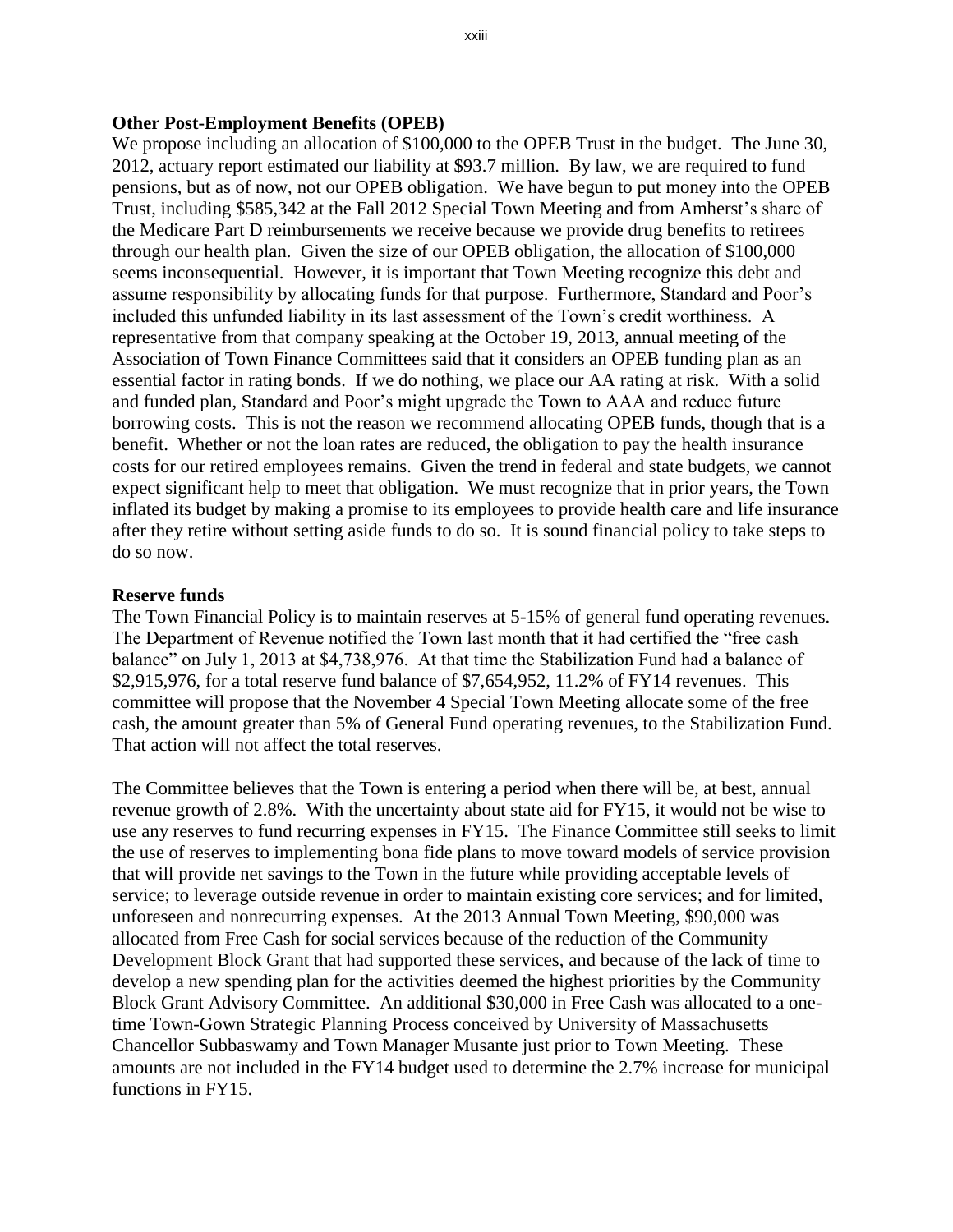#### **Other Post-Employment Benefits (OPEB)**

We propose including an allocation of \$100,000 to the OPEB Trust in the budget. The June 30, 2012, actuary report estimated our liability at \$93.7 million. By law, we are required to fund pensions, but as of now, not our OPEB obligation. We have begun to put money into the OPEB Trust, including \$585,342 at the Fall 2012 Special Town Meeting and from Amherst's share of the Medicare Part D reimbursements we receive because we provide drug benefits to retirees through our health plan. Given the size of our OPEB obligation, the allocation of \$100,000 seems inconsequential. However, it is important that Town Meeting recognize this debt and assume responsibility by allocating funds for that purpose. Furthermore, Standard and Poor's included this unfunded liability in its last assessment of the Town's credit worthiness. A representative from that company speaking at the October 19, 2013, annual meeting of the Association of Town Finance Committees said that it considers an OPEB funding plan as an essential factor in rating bonds. If we do nothing, we place our AA rating at risk. With a solid and funded plan, Standard and Poor's might upgrade the Town to AAA and reduce future borrowing costs. This is not the reason we recommend allocating OPEB funds, though that is a benefit. Whether or not the loan rates are reduced, the obligation to pay the health insurance costs for our retired employees remains. Given the trend in federal and state budgets, we cannot expect significant help to meet that obligation. We must recognize that in prior years, the Town inflated its budget by making a promise to its employees to provide health care and life insurance after they retire without setting aside funds to do so. It is sound financial policy to take steps to do so now.

#### **Reserve funds**

The Town Financial Policy is to maintain reserves at 5-15% of general fund operating revenues. The Department of Revenue notified the Town last month that it had certified the "free cash balance" on July 1, 2013 at \$4,738,976. At that time the Stabilization Fund had a balance of \$2,915,976, for a total reserve fund balance of \$7,654,952, 11.2% of FY14 revenues. This committee will propose that the November 4 Special Town Meeting allocate some of the free cash, the amount greater than 5% of General Fund operating revenues, to the Stabilization Fund. That action will not affect the total reserves.

The Committee believes that the Town is entering a period when there will be, at best, annual revenue growth of 2.8%. With the uncertainty about state aid for FY15, it would not be wise to use any reserves to fund recurring expenses in FY15. The Finance Committee still seeks to limit the use of reserves to implementing bona fide plans to move toward models of service provision that will provide net savings to the Town in the future while providing acceptable levels of service; to leverage outside revenue in order to maintain existing core services; and for limited, unforeseen and nonrecurring expenses. At the 2013 Annual Town Meeting, \$90,000 was allocated from Free Cash for social services because of the reduction of the Community Development Block Grant that had supported these services, and because of the lack of time to develop a new spending plan for the activities deemed the highest priorities by the Community Block Grant Advisory Committee. An additional \$30,000 in Free Cash was allocated to a onetime Town-Gown Strategic Planning Process conceived by University of Massachusetts Chancellor Subbaswamy and Town Manager Musante just prior to Town Meeting. These amounts are not included in the FY14 budget used to determine the 2.7% increase for municipal functions in FY15.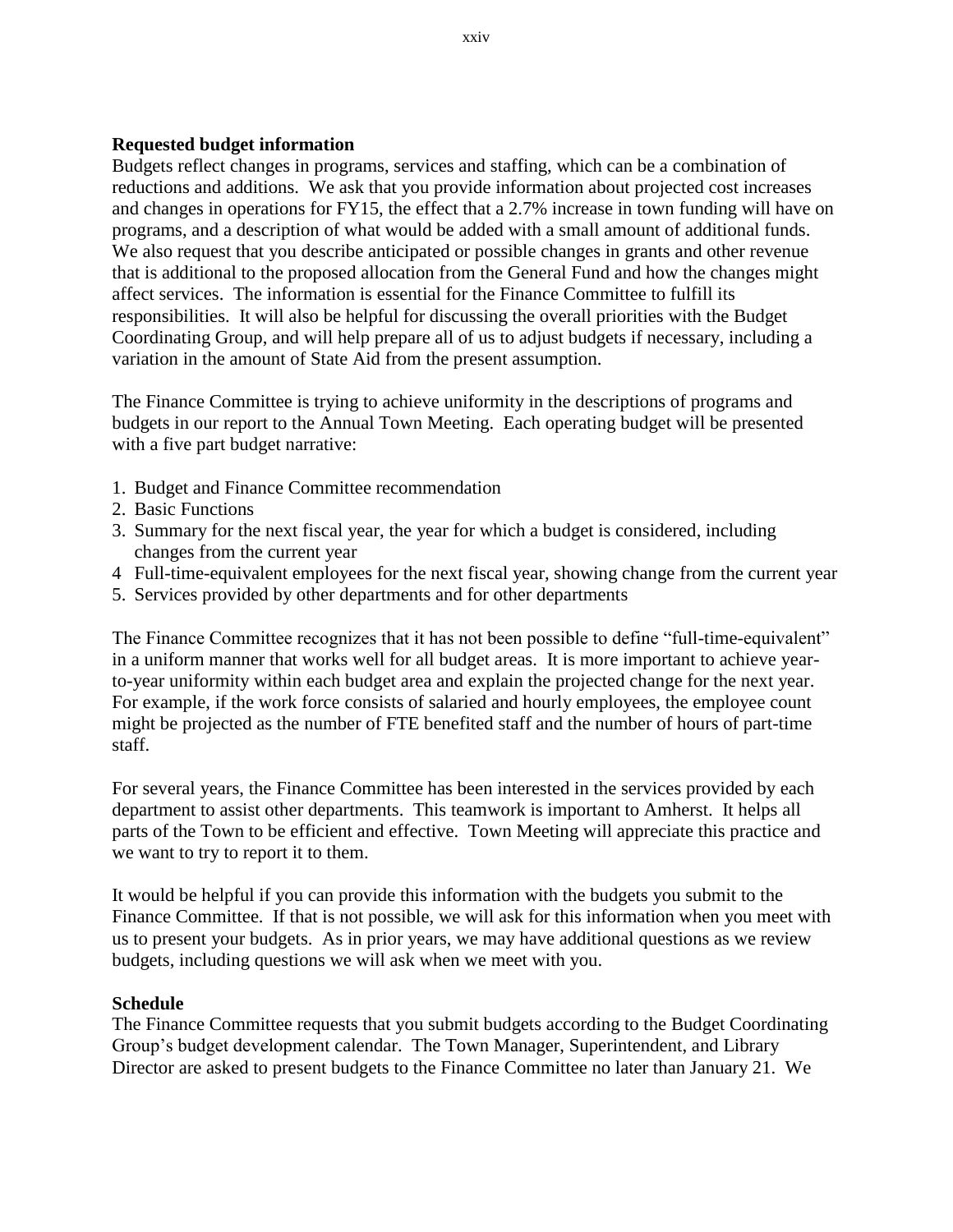#### **Requested budget information**

Budgets reflect changes in programs, services and staffing, which can be a combination of reductions and additions. We ask that you provide information about projected cost increases and changes in operations for FY15, the effect that a 2.7% increase in town funding will have on programs, and a description of what would be added with a small amount of additional funds. We also request that you describe anticipated or possible changes in grants and other revenue that is additional to the proposed allocation from the General Fund and how the changes might affect services. The information is essential for the Finance Committee to fulfill its responsibilities. It will also be helpful for discussing the overall priorities with the Budget Coordinating Group, and will help prepare all of us to adjust budgets if necessary, including a variation in the amount of State Aid from the present assumption.

The Finance Committee is trying to achieve uniformity in the descriptions of programs and budgets in our report to the Annual Town Meeting. Each operating budget will be presented with a five part budget narrative:

- 1. Budget and Finance Committee recommendation
- 2. Basic Functions
- 3. Summary for the next fiscal year, the year for which a budget is considered, including changes from the current year
- 4 Full-time-equivalent employees for the next fiscal year, showing change from the current year
- 5. Services provided by other departments and for other departments

The Finance Committee recognizes that it has not been possible to define "full-time-equivalent" in a uniform manner that works well for all budget areas. It is more important to achieve yearto-year uniformity within each budget area and explain the projected change for the next year. For example, if the work force consists of salaried and hourly employees, the employee count might be projected as the number of FTE benefited staff and the number of hours of part-time staff.

For several years, the Finance Committee has been interested in the services provided by each department to assist other departments. This teamwork is important to Amherst. It helps all parts of the Town to be efficient and effective. Town Meeting will appreciate this practice and we want to try to report it to them.

It would be helpful if you can provide this information with the budgets you submit to the Finance Committee. If that is not possible, we will ask for this information when you meet with us to present your budgets. As in prior years, we may have additional questions as we review budgets, including questions we will ask when we meet with you.

#### **Schedule**

The Finance Committee requests that you submit budgets according to the Budget Coordinating Group's budget development calendar. The Town Manager, Superintendent, and Library Director are asked to present budgets to the Finance Committee no later than January 21. We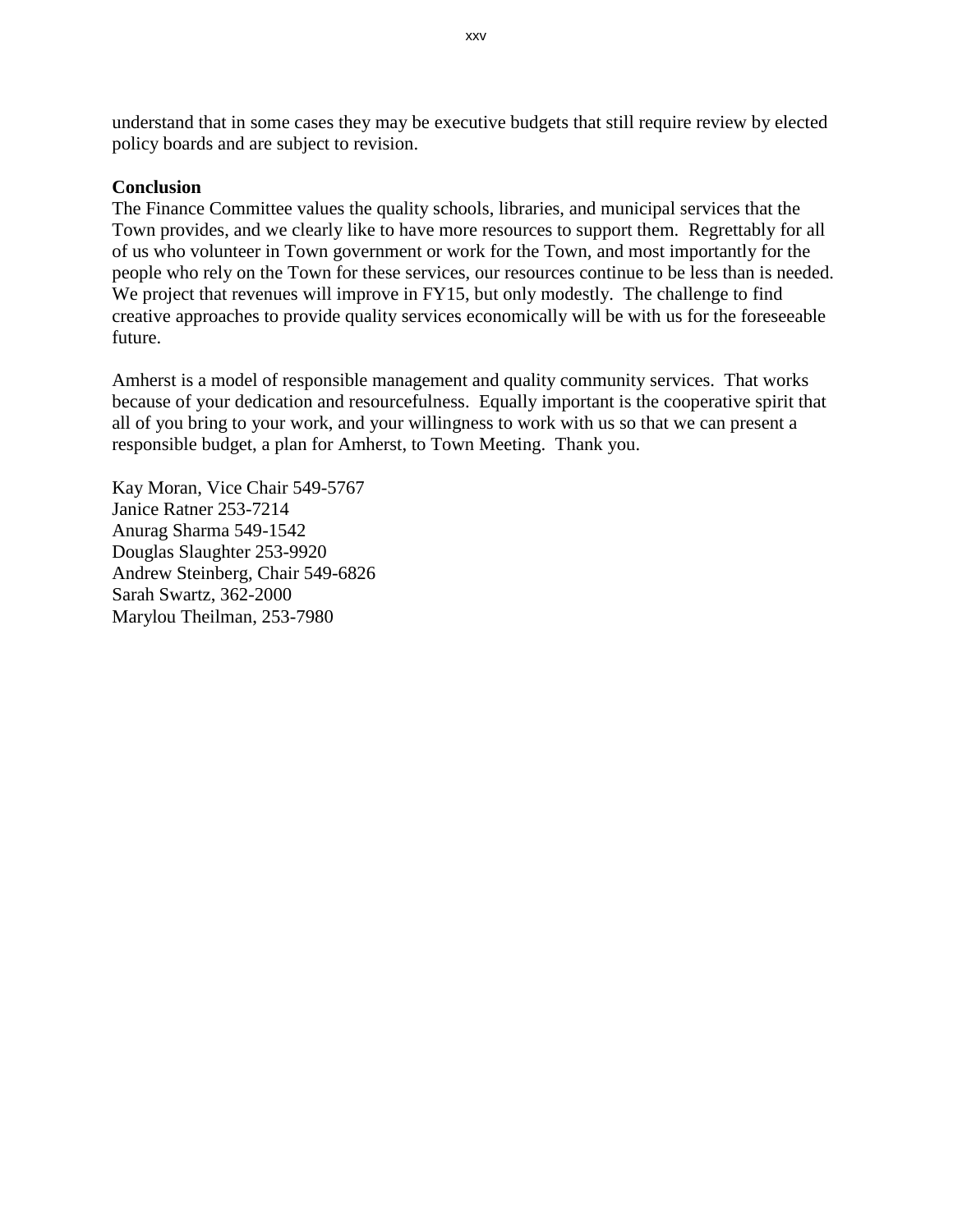understand that in some cases they may be executive budgets that still require review by elected policy boards and are subject to revision.

### **Conclusion**

The Finance Committee values the quality schools, libraries, and municipal services that the Town provides, and we clearly like to have more resources to support them. Regrettably for all of us who volunteer in Town government or work for the Town, and most importantly for the people who rely on the Town for these services, our resources continue to be less than is needed. We project that revenues will improve in FY15, but only modestly. The challenge to find creative approaches to provide quality services economically will be with us for the foreseeable future.

Amherst is a model of responsible management and quality community services. That works because of your dedication and resourcefulness. Equally important is the cooperative spirit that all of you bring to your work, and your willingness to work with us so that we can present a responsible budget, a plan for Amherst, to Town Meeting. Thank you.

Kay Moran, Vice Chair 549-5767 Janice Ratner 253-7214 Anurag Sharma 549-1542 Douglas Slaughter 253-9920 Andrew Steinberg, Chair 549-6826 Sarah Swartz, 362-2000 Marylou Theilman, 253-7980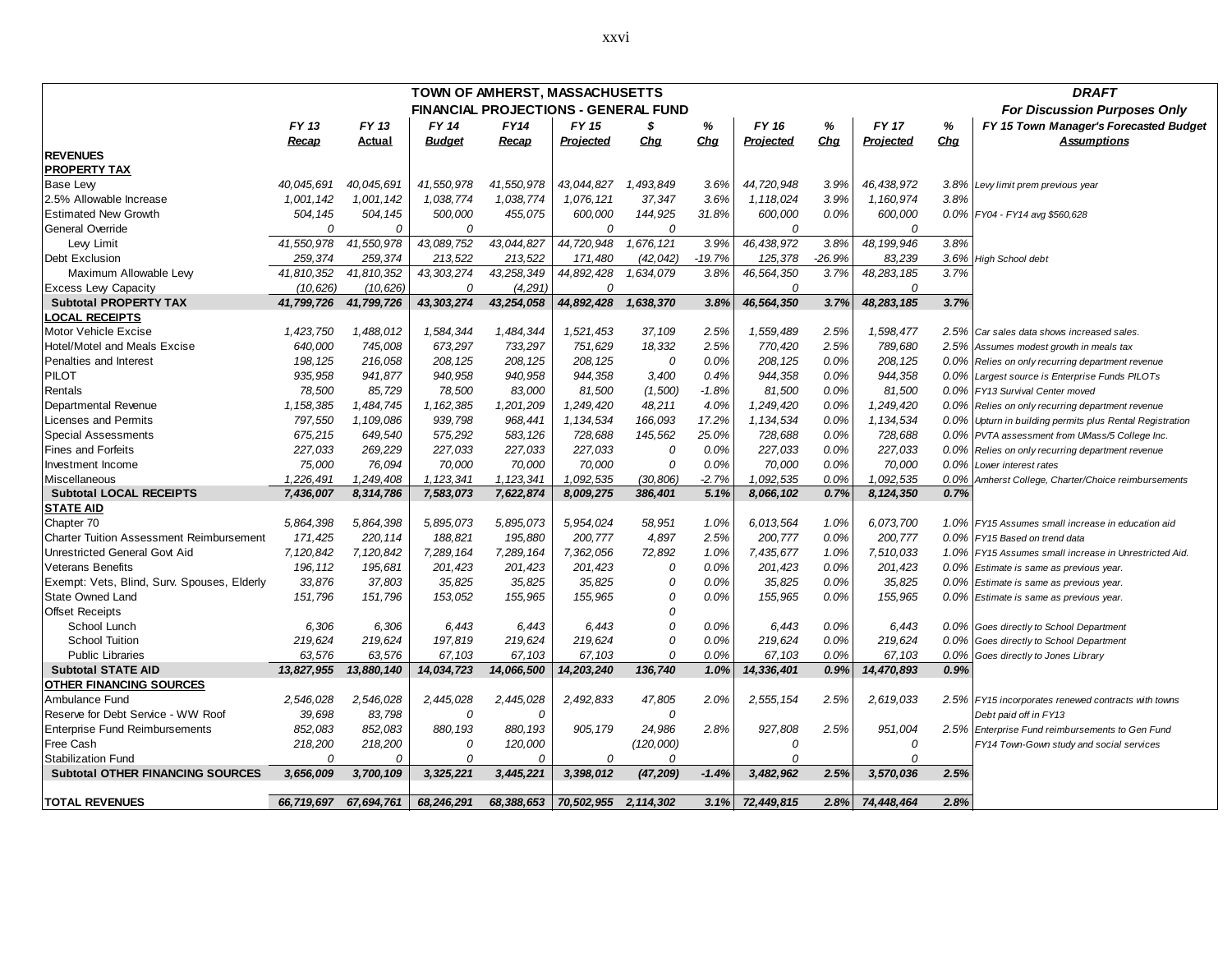| TOWN OF AMHERST, MASSACHUSETTS                  |            |                                     |                                               |             |                                 |           |          |                  |        |                  |      | <b>DRAFT</b>                                             |
|-------------------------------------------------|------------|-------------------------------------|-----------------------------------------------|-------------|---------------------------------|-----------|----------|------------------|--------|------------------|------|----------------------------------------------------------|
|                                                 |            | <b>For Discussion Purposes Only</b> |                                               |             |                                 |           |          |                  |        |                  |      |                                                          |
|                                                 | FY 13      | FY 13                               | FINANCIAL PROJECTIONS - GENERAL FUND<br>FY 14 | <b>FY14</b> | FY 15                           | \$        | $\%$     | FY 16            | %      | <b>FY 17</b>     | %    | FY 15 Town Manager's Forecasted Budget                   |
|                                                 | Recap      | <b>Actual</b>                       | <b>Budget</b>                                 | Recap       | <u>Projected</u>                | Cha       | Chg      | <b>Projected</b> | Chg    | <b>Projected</b> | Chg  | <b>Assumptions</b>                                       |
| <b>REVENUES</b>                                 |            |                                     |                                               |             |                                 |           |          |                  |        |                  |      |                                                          |
| <b>PROPERTY TAX</b>                             |            |                                     |                                               |             |                                 |           |          |                  |        |                  |      |                                                          |
| Base Lew                                        | 40,045,691 | 40,045,691                          | 41,550,978                                    | 41,550,978  | 43,044,827                      | 1,493,849 | 3.6%     | 44,720,948       | 3.9%   | 46,438,972       |      | 3.8% Levy limit prem previous year                       |
| 2.5% Allowable Increase                         | 1,001,142  | 1,001,142                           | 1,038,774                                     | 1,038,774   | 1,076,121                       | 37,347    | 3.6%     | 1,118,024        | 3.9%   | 1,160,974        | 3.8% |                                                          |
| <b>Estimated New Growth</b>                     | 504, 145   | 504, 145                            | 500,000                                       | 455,075     | 600,000                         | 144,925   | 31.8%    | 600,000          | 0.0%   | 600,000          |      | 0.0% FY04 - FY14 avg \$560,628                           |
| General Override                                | $\Omega$   | $\Omega$                            | $\Omega$                                      |             | 0                               | $\Omega$  |          | $\Omega$         |        | $\Omega$         |      |                                                          |
| Levy Limit                                      | 41,550,978 | 41,550,978                          | 43,089,752                                    | 43,044,827  | 44,720,948                      | 1,676,121 | 3.9%     | 46, 438, 972     | 3.8%   | 48, 199, 946     | 3.8% |                                                          |
| Debt Exclusion                                  | 259,374    | 259,374                             | 213,522                                       | 213,522     | 171,480                         | (42, 042) | $-19.7%$ | 125,378          | -26.9% | 83,239           |      | 3.6% High School debt                                    |
| Maximum Allowable Levy                          | 41,810,352 | 41,810,352                          | 43, 303, 274                                  | 43,258,349  | 44,892,428                      | 1,634,079 | 3.8%     | 46,564,350       | 3.7%   | 48,283,185       | 3.7% |                                                          |
| <b>Excess Levy Capacity</b>                     | (10, 626)  | (10, 626)                           | $\Omega$                                      | (4, 291)    | 0                               |           |          | 0                |        | 0                |      |                                                          |
| <b>Subtotal PROPERTY TAX</b>                    | 41,799,726 | 41,799,726                          | 43, 303, 274                                  | 43,254,058  | 44,892,428                      | 1,638,370 | 3.8%     | 46,564,350       | 3.7%   | 48,283,185       | 3.7% |                                                          |
| <b>LOCAL RECEIPTS</b>                           |            |                                     |                                               |             |                                 |           |          |                  |        |                  |      |                                                          |
| Motor Vehicle Excise                            | 1,423,750  | 1,488,012                           | 1,584,344                                     | 1,484,344   | 1,521,453                       | 37,109    | 2.5%     | 1,559,489        | 2.5%   | 1,598,477        |      | 2.5% Car sales data shows increased sales.               |
| Hotel/Motel and Meals Excise                    | 640,000    | 745,008                             | 673,297                                       | 733,297     | 751,629                         | 18,332    | 2.5%     | 770,420          | 2.5%   | 789,680          |      | 2.5% Assumes modest growth in meals tax                  |
| Penalties and Interest                          | 198, 125   | 216,058                             | 208, 125                                      | 208, 125    | 208, 125                        | 0         | 0.0%     | 208, 125         | 0.0%   | 208, 125         |      | 0.0% Relies on only recurring department revenue         |
| <b>PILOT</b>                                    | 935,958    | 941,877                             | 940,958                                       | 940,958     | 944,358                         | 3,400     | 0.4%     | 944,358          | 0.0%   | 944,358          |      | 0.0% Largest source is Enterprise Funds PILOTs           |
| Rentals                                         | 78,500     | 85,729                              | 78,500                                        | 83,000      | 81,500                          | (1,500)   | $-1.8%$  | 81,500           | 0.0%   | 81,500           |      | 0.0% FY13 Survival Center moved                          |
| Departmental Revenue                            | 1,158,385  | 1,484,745                           | 1, 162, 385                                   | 1,201,209   | 1,249,420                       | 48,211    | 4.0%     | 1,249,420        | 0.0%   | 1,249,420        |      | 0.0% Relies on only recurring department revenue         |
| <b>Licenses and Permits</b>                     | 797,550    | 1,109,086                           | 939,798                                       | 968,441     | 1, 134, 534                     | 166,093   | 17.2%    | 1,134,534        | 0.0%   | 1,134,534        |      | 0.0% Upturn in building permits plus Rental Registration |
| <b>Special Assessments</b>                      | 675,215    | 649,540                             | 575,292                                       | 583, 126    | 728,688                         | 145,562   | 25.0%    | 728,688          | 0.0%   | 728,688          |      | 0.0% PVTA assessment from UMass/5 College Inc.           |
| <b>Fines and Forfeits</b>                       | 227,033    | 269,229                             | 227,033                                       | 227,033     | 227,033                         | 0         | 0.0%     | 227,033          | 0.0%   | 227,033          |      | 0.0% Relies on only recurring department revenue         |
| Investment Income                               | 75,000     | 76,094                              | 70,000                                        | 70,000      | 70,000                          | 0         | 0.0%     | 70,000           | 0.0%   | 70,000           | 0.0% | Lower interest rates                                     |
| Miscellaneous                                   | 1,226,491  | 1,249,408                           | 1, 123, 341                                   | 1, 123, 341 | 1,092,535                       | (30, 806) | $-2.7%$  | 1,092,535        | 0.0%   | 1,092,535        | 0.0% | Amherst College, Charter/Choice reimbursements           |
| <b>Subtotal LOCAL RECEIPTS</b>                  | 7,436,007  | 8,314,786                           | 7,583,073                                     | 7,622,874   | 8,009,275                       | 386,401   | 5.1%     | 8,066,102        | 0.7%   | 8,124,350        | 0.7% |                                                          |
| <b>STATE AID</b>                                |            |                                     |                                               |             |                                 |           |          |                  |        |                  |      |                                                          |
| Chapter 70                                      | 5,864,398  | 5,864,398                           | 5,895,073                                     | 5,895,073   | 5,954,024                       | 58,951    | 1.0%     | 6,013,564        | 1.0%   | 6,073,700        |      | 1.0% FY15 Assumes small increase in education aid        |
| <b>Charter Tuition Assessment Reimbursement</b> | 171,425    | 220, 114                            | 188,821                                       | 195,880     | 200,777                         | 4,897     | 2.5%     | 200,777          | 0.0%   | 200,777          |      | 0.0% FY15 Based on trend data                            |
| <b>Unrestricted General Govt Aid</b>            | 7,120,842  | 7,120,842                           | 7,289,164                                     | 7,289,164   | 7,362,056                       | 72,892    | 1.0%     | 7,435,677        | 1.0%   | 7,510,033        |      | 1.0% FY15 Assumes small increase in Unrestricted Aid.    |
| Veterans Benefits                               | 196, 112   | 195,681                             | 201,423                                       | 201,423     | 201,423                         | 0         | 0.0%     | 201,423          | 0.0%   | 201,423          |      | 0.0% Estimate is same as previous year.                  |
| Exempt: Vets, Blind, Surv. Spouses, Elderly     | 33,876     | 37,803                              | 35,825                                        | 35,825      | 35,825                          | 0         | 0.0%     | 35,825           | 0.0%   | 35,825           |      | 0.0% Estimate is same as previous year.                  |
| <b>State Owned Land</b>                         | 151,796    | 151,796                             | 153,052                                       | 155,965     | 155,965                         | 0         | 0.0%     | 155,965          | 0.0%   | 155,965          |      | 0.0% Estimate is same as previous year.                  |
| <b>Offset Receipts</b>                          |            |                                     |                                               |             |                                 | 0         |          |                  |        |                  |      |                                                          |
| School Lunch                                    | 6,306      | 6,306                               | 6,443                                         | 6,443       | 6,443                           | 0         | 0.0%     | 6,443            | 0.0%   | 6,443            |      | 0.0% Goes directly to School Department                  |
| School Tuition                                  | 219,624    | 219,624                             | 197,819                                       | 219,624     | 219,624                         | 0         | 0.0%     | 219,624          | 0.0%   | 219,624          |      | 0.0% Goes directly to School Department                  |
| <b>Public Libraries</b>                         | 63,576     | 63,576                              | 67,103                                        | 67,103      | 67,103                          | $\Omega$  | 0.0%     | 67,103           | 0.0%   | 67,103           | 0.0% | Goes directly to Jones Library                           |
| <b>Subtotal STATE AID</b>                       | 13,827,955 | 13,880,140                          | 14,034,723                                    | 14,066,500  | 14,203,240                      | 136,740   | 1.0%     | 14,336,401       | 0.9%   | 14,470,893       | 0.9% |                                                          |
| <b>OTHER FINANCING SOURCES</b>                  |            |                                     |                                               |             |                                 |           |          |                  |        |                  |      |                                                          |
| Ambulance Fund                                  | 2,546,028  | 2,546,028                           | 2,445,028                                     | 2,445,028   | 2,492,833                       | 47,805    | 2.0%     | 2,555,154        | 2.5%   | 2,619,033        |      | 2.5% FY15 incorporates renewed contracts with towns      |
| Reserve for Debt Service - WW Roof              | 39,698     | 83,798                              | $\Omega$                                      | 0           |                                 | $\Omega$  |          |                  |        |                  |      | Debt paid off in FY13                                    |
| <b>Enterprise Fund Reimbursements</b>           | 852,083    | 852,083                             | 880, 193                                      | 880, 193    | 905, 179                        | 24,986    | 2.8%     | 927,808          | 2.5%   | 951,004          |      | 2.5% Enterprise Fund reimbursements to Gen Fund          |
| Free Cash                                       | 218,200    | 218,200                             | $\Omega$                                      | 120,000     |                                 | (120,000) |          | $\Omega$         |        | $\Omega$         |      | FY14 Town-Gown study and social services                 |
| Stabilization Fund                              | $\Omega$   | $\Omega$                            | $\Omega$                                      | $\Omega$    | 0                               | 0         |          | $\Omega$         |        | $\Omega$         |      |                                                          |
| <b>Subtotal OTHER FINANCING SOURCES</b>         | 3,656,009  | 3,700,109                           | 3,325,221                                     | 3,445,221   | 3,398,012                       | (47, 209) | $-1.4%$  | 3.482.962        | 2.5%   | 3,570,036        | 2.5% |                                                          |
|                                                 |            |                                     |                                               |             |                                 |           |          |                  |        |                  |      |                                                          |
| <b>TOTAL REVENUES</b>                           | 66,719,697 | 67.694.761                          | 68.246.291                                    |             | 68.388.653 70.502.955 2.114.302 |           | 3.1%     | 72.449.815       |        | 2.8% 74,448,464  | 2.8% |                                                          |